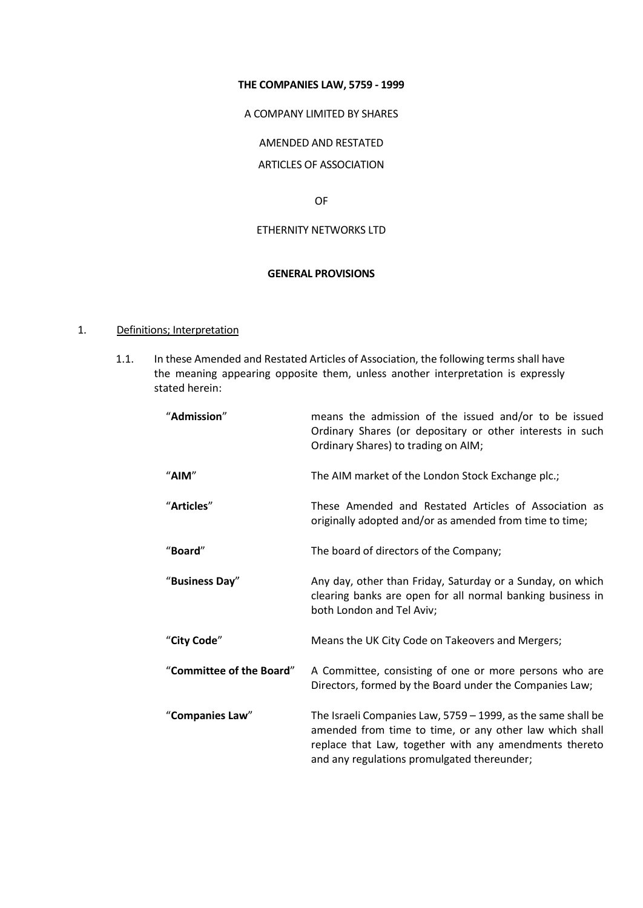#### **THE COMPANIES LAW, 5759 - 1999**

A COMPANY LIMITED BY SHARES

AMENDED AND RESTATED

ARTICLES OF ASSOCIATION

OF

## ETHERNITY NETWORKS LTD

#### **GENERAL PROVISIONS**

#### 1. Definitions; Interpretation

1.1. In these Amended and Restated Articles of Association, the following terms shall have the meaning appearing opposite them, unless another interpretation is expressly stated herein:

| "Admission"              | means the admission of the issued and/or to be issued<br>Ordinary Shares (or depositary or other interests in such<br>Ordinary Shares) to trading on AIM;                                                                        |
|--------------------------|----------------------------------------------------------------------------------------------------------------------------------------------------------------------------------------------------------------------------------|
| "AIM"                    | The AIM market of the London Stock Exchange plc.;                                                                                                                                                                                |
| "Articles"               | These Amended and Restated Articles of Association as<br>originally adopted and/or as amended from time to time;                                                                                                                 |
| "Board"                  | The board of directors of the Company;                                                                                                                                                                                           |
| "Business Day"           | Any day, other than Friday, Saturday or a Sunday, on which<br>clearing banks are open for all normal banking business in<br>both London and Tel Aviv;                                                                            |
| "City Code"              | Means the UK City Code on Takeovers and Mergers;                                                                                                                                                                                 |
| "Committee of the Board" | A Committee, consisting of one or more persons who are<br>Directors, formed by the Board under the Companies Law;                                                                                                                |
| "Companies Law"          | The Israeli Companies Law, 5759 - 1999, as the same shall be<br>amended from time to time, or any other law which shall<br>replace that Law, together with any amendments thereto<br>and any regulations promulgated thereunder; |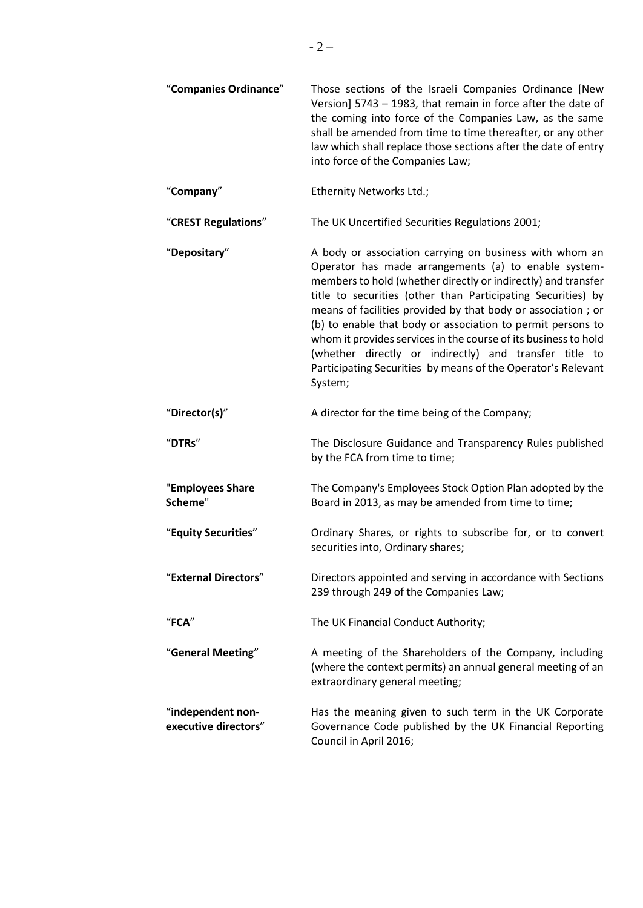| "Companies Ordinance"                     | Those sections of the Israeli Companies Ordinance [New<br>Version] 5743 - 1983, that remain in force after the date of<br>the coming into force of the Companies Law, as the same<br>shall be amended from time to time thereafter, or any other<br>law which shall replace those sections after the date of entry<br>into force of the Companies Law;                                                                                                                                                                                                                                  |
|-------------------------------------------|-----------------------------------------------------------------------------------------------------------------------------------------------------------------------------------------------------------------------------------------------------------------------------------------------------------------------------------------------------------------------------------------------------------------------------------------------------------------------------------------------------------------------------------------------------------------------------------------|
| "Company"                                 | Ethernity Networks Ltd.;                                                                                                                                                                                                                                                                                                                                                                                                                                                                                                                                                                |
| "CREST Regulations"                       | The UK Uncertified Securities Regulations 2001;                                                                                                                                                                                                                                                                                                                                                                                                                                                                                                                                         |
| "Depositary"                              | A body or association carrying on business with whom an<br>Operator has made arrangements (a) to enable system-<br>members to hold (whether directly or indirectly) and transfer<br>title to securities (other than Participating Securities) by<br>means of facilities provided by that body or association; or<br>(b) to enable that body or association to permit persons to<br>whom it provides services in the course of its business to hold<br>(whether directly or indirectly) and transfer title to<br>Participating Securities by means of the Operator's Relevant<br>System; |
| "Director(s)"                             | A director for the time being of the Company;                                                                                                                                                                                                                                                                                                                                                                                                                                                                                                                                           |
| "DTRs"                                    | The Disclosure Guidance and Transparency Rules published<br>by the FCA from time to time;                                                                                                                                                                                                                                                                                                                                                                                                                                                                                               |
| "Employees Share<br>Scheme"               | The Company's Employees Stock Option Plan adopted by the<br>Board in 2013, as may be amended from time to time;                                                                                                                                                                                                                                                                                                                                                                                                                                                                         |
| "Equity Securities"                       | Ordinary Shares, or rights to subscribe for, or to convert<br>securities into, Ordinary shares;                                                                                                                                                                                                                                                                                                                                                                                                                                                                                         |
| "External Directors"                      | Directors appointed and serving in accordance with Sections<br>239 through 249 of the Companies Law;                                                                                                                                                                                                                                                                                                                                                                                                                                                                                    |
| $"$ FCA"                                  | The UK Financial Conduct Authority;                                                                                                                                                                                                                                                                                                                                                                                                                                                                                                                                                     |
| "General Meeting"                         | A meeting of the Shareholders of the Company, including<br>(where the context permits) an annual general meeting of an<br>extraordinary general meeting;                                                                                                                                                                                                                                                                                                                                                                                                                                |
| "independent non-<br>executive directors" | Has the meaning given to such term in the UK Corporate<br>Governance Code published by the UK Financial Reporting<br>Council in April 2016;                                                                                                                                                                                                                                                                                                                                                                                                                                             |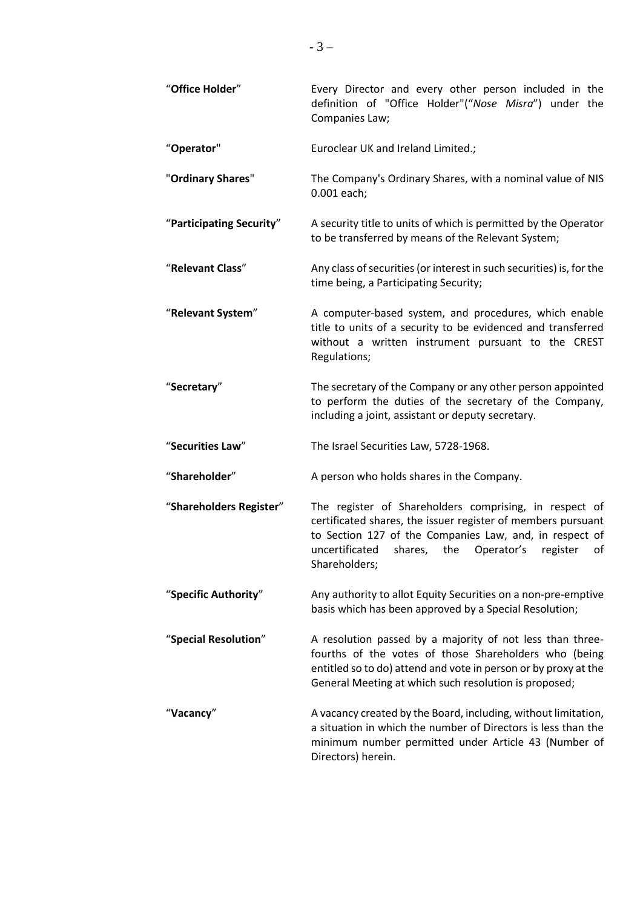| "Office Holder"          | Every Director and every other person included in the<br>definition of "Office Holder"("Nose Misra") under the<br>Companies Law;                                                                                                                                    |
|--------------------------|---------------------------------------------------------------------------------------------------------------------------------------------------------------------------------------------------------------------------------------------------------------------|
| "Operator"               | Euroclear UK and Ireland Limited.;                                                                                                                                                                                                                                  |
| "Ordinary Shares"        | The Company's Ordinary Shares, with a nominal value of NIS<br>0.001 each;                                                                                                                                                                                           |
| "Participating Security" | A security title to units of which is permitted by the Operator<br>to be transferred by means of the Relevant System;                                                                                                                                               |
| "Relevant Class"         | Any class of securities (or interest in such securities) is, for the<br>time being, a Participating Security;                                                                                                                                                       |
| "Relevant System"        | A computer-based system, and procedures, which enable<br>title to units of a security to be evidenced and transferred<br>without a written instrument pursuant to the CREST<br>Regulations;                                                                         |
| "Secretary"              | The secretary of the Company or any other person appointed<br>to perform the duties of the secretary of the Company,<br>including a joint, assistant or deputy secretary.                                                                                           |
| "Securities Law"         | The Israel Securities Law, 5728-1968.                                                                                                                                                                                                                               |
| "Shareholder"            | A person who holds shares in the Company.                                                                                                                                                                                                                           |
| "Shareholders Register"  | The register of Shareholders comprising, in respect of<br>certificated shares, the issuer register of members pursuant<br>to Section 127 of the Companies Law, and, in respect of<br>uncertificated<br>shares,<br>the Operator's<br>register<br>οf<br>Shareholders; |
| "Specific Authority"     | Any authority to allot Equity Securities on a non-pre-emptive<br>basis which has been approved by a Special Resolution;                                                                                                                                             |
| "Special Resolution"     | A resolution passed by a majority of not less than three-<br>fourths of the votes of those Shareholders who (being<br>entitled so to do) attend and vote in person or by proxy at the<br>General Meeting at which such resolution is proposed;                      |
| "Vacancy"                | A vacancy created by the Board, including, without limitation,<br>a situation in which the number of Directors is less than the<br>minimum number permitted under Article 43 (Number of<br>Directors) herein.                                                       |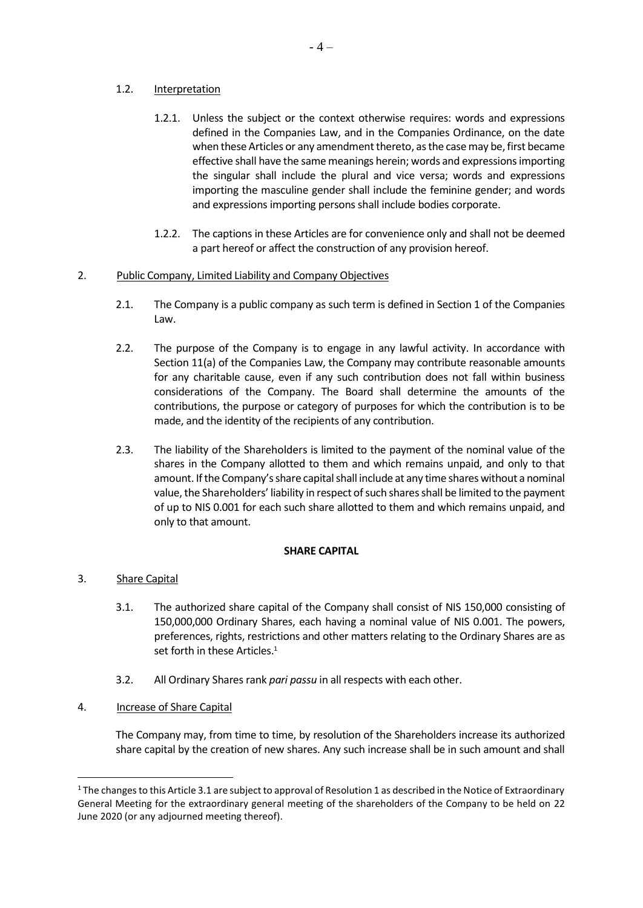## 1.2. Interpretation

- 1.2.1. Unless the subject or the context otherwise requires: words and expressions defined in the Companies Law, and in the Companies Ordinance, on the date when these Articles or any amendment thereto, as the case may be, first became effective shall have the same meanings herein; words and expressions importing the singular shall include the plural and vice versa; words and expressions importing the masculine gender shall include the feminine gender; and words and expressions importing persons shall include bodies corporate.
- 1.2.2. The captions in these Articles are for convenience only and shall not be deemed a part hereof or affect the construction of any provision hereof.

# 2. Public Company, Limited Liability and Company Objectives

- 2.1. The Company is a public company as such term is defined in Section 1 of the Companies Law.
- 2.2. The purpose of the Company is to engage in any lawful activity. In accordance with Section 11(a) of the Companies Law, the Company may contribute reasonable amounts for any charitable cause, even if any such contribution does not fall within business considerations of the Company. The Board shall determine the amounts of the contributions, the purpose or category of purposes for which the contribution is to be made, and the identity of the recipients of any contribution.
- 2.3. The liability of the Shareholders is limited to the payment of the nominal value of the shares in the Company allotted to them and which remains unpaid, and only to that amount. If the Company's share capital shall include at any time shares without a nominal value, the Shareholders' liability in respect of such shares shall be limited to the payment of up to NIS 0.001 for each such share allotted to them and which remains unpaid, and only to that amount.

### **SHARE CAPITAL**

- 3. Share Capital
	- 3.1. The authorized share capital of the Company shall consist of NIS 150,000 consisting of 150,000,000 Ordinary Shares, each having a nominal value of NIS 0.001. The powers, preferences, rights, restrictions and other matters relating to the Ordinary Shares are as set forth in these Articles.<sup>1</sup>
	- 3.2. All Ordinary Shares rank *pari passu* in all respects with each other.
- 4. Increase of Share Capital

The Company may, from time to time, by resolution of the Shareholders increase its authorized share capital by the creation of new shares. Any such increase shall be in such amount and shall

 $1$  The changes to this Article 3.1 are subject to approval of Resolution 1 as described in the Notice of Extraordinary General Meeting for the extraordinary general meeting of the shareholders of the Company to be held on 22 June 2020 (or any adjourned meeting thereof).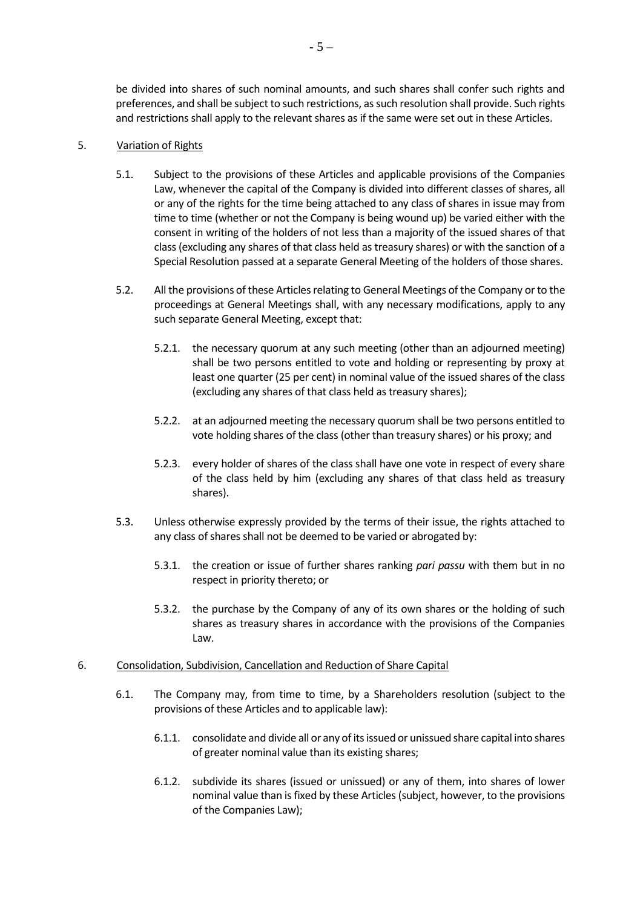be divided into shares of such nominal amounts, and such shares shall confer such rights and preferences, and shall be subject to such restrictions, as such resolution shall provide. Such rights and restrictions shall apply to the relevant shares as if the same were set out in these Articles.

## <span id="page-4-0"></span>5. Variation of Rights

- 5.1. Subject to the provisions of these Articles and applicable provisions of the Companies Law, whenever the capital of the Company is divided into different classes of shares, all or any of the rights for the time being attached to any class of shares in issue may from time to time (whether or not the Company is being wound up) be varied either with the consent in writing of the holders of not less than a majority of the issued shares of that class (excluding any shares of that class held as treasury shares) or with the sanction of a Special Resolution passed at a separate General Meeting of the holders of those shares.
- 5.2. All the provisions of these Articles relating to General Meetings of the Company or to the proceedings at General Meetings shall, with any necessary modifications, apply to any such separate General Meeting, except that:
	- 5.2.1. the necessary quorum at any such meeting (other than an adjourned meeting) shall be two persons entitled to vote and holding or representing by proxy at least one quarter (25 per cent) in nominal value of the issued shares of the class (excluding any shares of that class held as treasury shares);
	- 5.2.2. at an adjourned meeting the necessary quorum shall be two persons entitled to vote holding shares of the class (other than treasury shares) or his proxy; and
	- 5.2.3. every holder of shares of the class shall have one vote in respect of every share of the class held by him (excluding any shares of that class held as treasury shares).
- 5.3. Unless otherwise expressly provided by the terms of their issue, the rights attached to any class of shares shall not be deemed to be varied or abrogated by:
	- 5.3.1. the creation or issue of further shares ranking *pari passu* with them but in no respect in priority thereto; or
	- 5.3.2. the purchase by the Company of any of its own shares or the holding of such shares as treasury shares in accordance with the provisions of the Companies Law.
- 6. Consolidation, Subdivision, Cancellation and Reduction of Share Capital
	- 6.1. The Company may, from time to time, by a Shareholders resolution (subject to the provisions of these Articles and to applicable law):
		- 6.1.1. consolidate and divide all or any of its issued or unissued share capital into shares of greater nominal value than its existing shares;
		- 6.1.2. subdivide its shares (issued or unissued) or any of them, into shares of lower nominal value than is fixed by these Articles (subject, however, to the provisions of the Companies Law);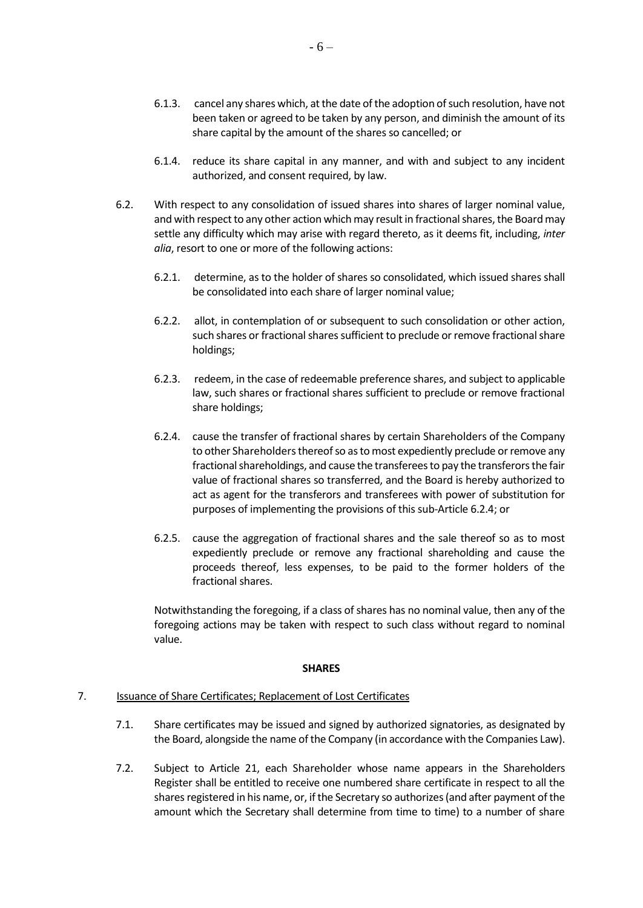- 6.1.3. cancel any shares which, at the date of the adoption of such resolution, have not been taken or agreed to be taken by any person, and diminish the amount of its share capital by the amount of the shares so cancelled; or
- 6.1.4. reduce its share capital in any manner, and with and subject to any incident authorized, and consent required, by law.
- <span id="page-5-1"></span>6.2. With respect to any consolidation of issued shares into shares of larger nominal value, and with respect to any other action which may result in fractional shares, the Board may settle any difficulty which may arise with regard thereto, as it deems fit, including, *inter alia*, resort to one or more of the following actions:
	- 6.2.1. determine, as to the holder of shares so consolidated, which issued shares shall be consolidated into each share of larger nominal value;
	- 6.2.2. allot, in contemplation of or subsequent to such consolidation or other action, such shares or fractional shares sufficient to preclude or remove fractional share holdings;
	- 6.2.3. redeem, in the case of redeemable preference shares, and subject to applicable law, such shares or fractional shares sufficient to preclude or remove fractional share holdings;
	- 6.2.4. cause the transfer of fractional shares by certain Shareholders of the Company to other Shareholders thereof so as to most expediently preclude or remove any fractional shareholdings, and cause the transferees to pay the transferors the fair value of fractional shares so transferred, and the Board is hereby authorized to act as agent for the transferors and transferees with power of substitution for purposes of implementing the provisions of this sub-Article [6.2.4;](#page-5-0) or
	- 6.2.5. cause the aggregation of fractional shares and the sale thereof so as to most expediently preclude or remove any fractional shareholding and cause the proceeds thereof, less expenses, to be paid to the former holders of the fractional shares.

<span id="page-5-0"></span>Notwithstanding the foregoing, if a class of shares has no nominal value, then any of the foregoing actions may be taken with respect to such class without regard to nominal value.

### **SHARES**

### 7. Issuance of Share Certificates; Replacement of Lost Certificates

- 7.1. Share certificates may be issued and signed by authorized signatories, as designated by the Board, alongside the name of the Company (in accordance with the Companies Law).
- 7.2. Subject to Article [21,](#page-11-0) each Shareholder whose name appears in the Shareholders Register shall be entitled to receive one numbered share certificate in respect to all the shares registered in his name, or, if the Secretary so authorizes (and after payment of the amount which the Secretary shall determine from time to time) to a number of share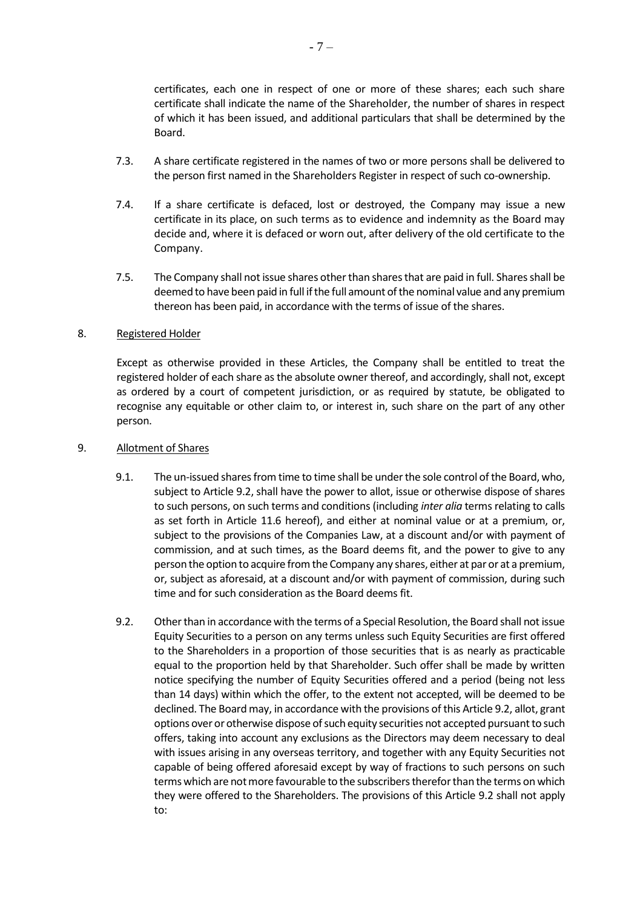certificates, each one in respect of one or more of these shares; each such share certificate shall indicate the name of the Shareholder, the number of shares in respect of which it has been issued, and additional particulars that shall be determined by the Board.

- 7.3. A share certificate registered in the names of two or more persons shall be delivered to the person first named in the Shareholders Register in respect of such co-ownership.
- 7.4. If a share certificate is defaced, lost or destroyed, the Company may issue a new certificate in its place, on such terms as to evidence and indemnity as the Board may decide and, where it is defaced or worn out, after delivery of the old certificate to the Company.
- 7.5. The Company shall not issue shares other than shares that are paid in full. Shares shall be deemed to have been paid in full if the full amount of the nominal value and any premium thereon has been paid, in accordance with the terms of issue of the shares.

#### 8. Registered Holder

Except as otherwise provided in these Articles, the Company shall be entitled to treat the registered holder of each share as the absolute owner thereof, and accordingly, shall not, except as ordered by a court of competent jurisdiction, or as required by statute, be obligated to recognise any equitable or other claim to, or interest in, such share on the part of any other person.

#### 9. Allotment of Shares

- 9.1. The un-issued shares from time to time shall be under the sole control of the Board, who, subject to Article 9.2, shall have the power to allot, issue or otherwise dispose of shares to such persons, on such terms and conditions (including *inter alia* terms relating to calls as set forth in Article [11.6](#page-8-0) hereof), and either at nominal value or at a premium, or, subject to the provisions of the Companies Law, at a discount and/or with payment of commission, and at such times, as the Board deems fit, and the power to give to any person the option to acquire from the Company any shares, either at par or at a premium, or, subject as aforesaid, at a discount and/or with payment of commission, during such time and for such consideration as the Board deems fit.
- <span id="page-6-0"></span>9.2. Other than in accordance with the terms of a Special Resolution, the Board shall not issue Equity Securities to a person on any terms unless such Equity Securities are first offered to the Shareholders in a proportion of those securities that is as nearly as practicable equal to the proportion held by that Shareholder. Such offer shall be made by written notice specifying the number of Equity Securities offered and a period (being not less than 14 days) within which the offer, to the extent not accepted, will be deemed to be declined. The Board may, in accordance with the provisions of this Articl[e 9.2,](#page-6-0) allot, grant options over or otherwise dispose of such equity securities not accepted pursuant to such offers, taking into account any exclusions as the Directors may deem necessary to deal with issues arising in any overseas territory, and together with any Equity Securities not capable of being offered aforesaid except by way of fractions to such persons on such terms which are not more favourable to the subscribers therefor than the terms on which they were offered to the Shareholders. The provisions of this Article [9.2](#page-6-0) shall not apply to: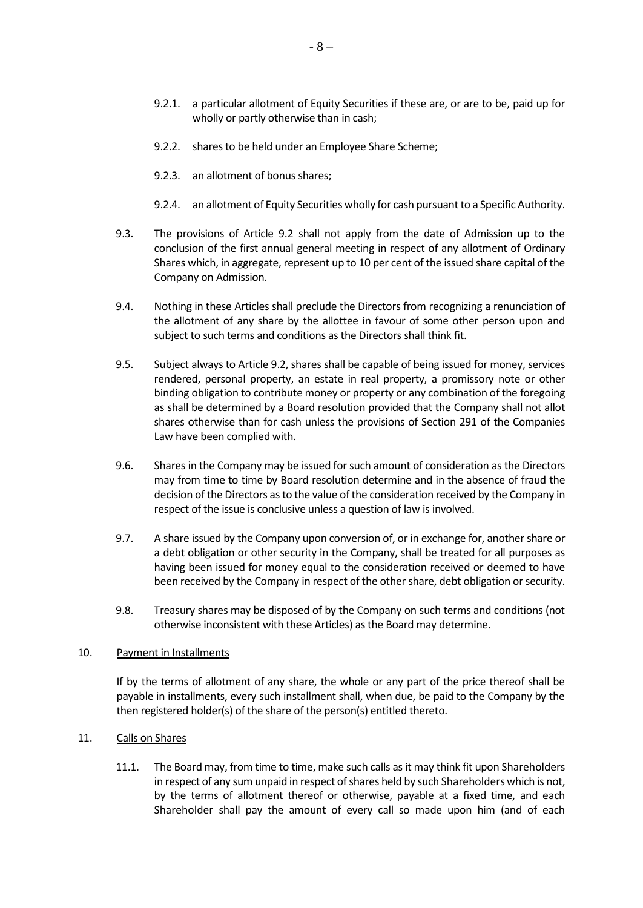- 9.2.1. a particular allotment of Equity Securities if these are, or are to be, paid up for wholly or partly otherwise than in cash;
- 9.2.2. shares to be held under an Employee Share Scheme;
- 9.2.3. an allotment of bonus shares;
- 9.2.4. an allotment of Equity Securities wholly for cash pursuant to a Specific Authority.
- 9.3. The provisions of Article [9.2](#page-6-0) shall not apply from the date of Admission up to the conclusion of the first annual general meeting in respect of any allotment of Ordinary Shares which, in aggregate, represent up to 10 per cent of the issued share capital of the Company on Admission.
- 9.4. Nothing in these Articles shall preclude the Directors from recognizing a renunciation of the allotment of any share by the allottee in favour of some other person upon and subject to such terms and conditions as the Directors shall think fit.
- 9.5. Subject always to Article 9.2, shares shall be capable of being issued for money, services rendered, personal property, an estate in real property, a promissory note or other binding obligation to contribute money or property or any combination of the foregoing as shall be determined by a Board resolution provided that the Company shall not allot shares otherwise than for cash unless the provisions of Section 291 of the Companies Law have been complied with.
- 9.6. Shares in the Company may be issued for such amount of consideration as the Directors may from time to time by Board resolution determine and in the absence of fraud the decision of the Directors as to the value of the consideration received by the Company in respect of the issue is conclusive unless a question of law is involved.
- 9.7. A share issued by the Company upon conversion of, or in exchange for, another share or a debt obligation or other security in the Company, shall be treated for all purposes as having been issued for money equal to the consideration received or deemed to have been received by the Company in respect of the other share, debt obligation or security.
- 9.8. Treasury shares may be disposed of by the Company on such terms and conditions (not otherwise inconsistent with these Articles) as the Board may determine.

### 10. Payment in Installments

If by the terms of allotment of any share, the whole or any part of the price thereof shall be payable in installments, every such installment shall, when due, be paid to the Company by the then registered holder(s) of the share of the person(s) entitled thereto.

### 11. Calls on Shares

11.1. The Board may, from time to time, make such calls as it may think fit upon Shareholders in respect of any sum unpaid in respect of shares held by such Shareholders which is not, by the terms of allotment thereof or otherwise, payable at a fixed time, and each Shareholder shall pay the amount of every call so made upon him (and of each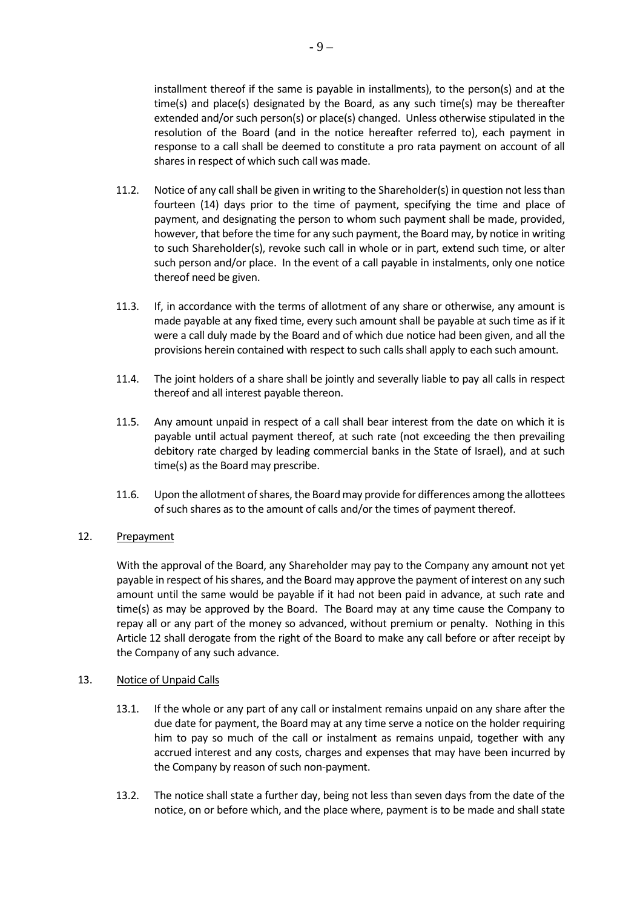installment thereof if the same is payable in installments), to the person(s) and at the time(s) and place(s) designated by the Board, as any such time(s) may be thereafter extended and/or such person(s) or place(s) changed. Unless otherwise stipulated in the resolution of the Board (and in the notice hereafter referred to), each payment in response to a call shall be deemed to constitute a pro rata payment on account of all shares in respect of which such call was made.

- 11.2. Notice of any call shall be given in writing to the Shareholder(s) in question not less than fourteen (14) days prior to the time of payment, specifying the time and place of payment, and designating the person to whom such payment shall be made, provided, however, that before the time for any such payment, the Board may, by notice in writing to such Shareholder(s), revoke such call in whole or in part, extend such time, or alter such person and/or place. In the event of a call payable in instalments, only one notice thereof need be given.
- 11.3. If, in accordance with the terms of allotment of any share or otherwise, any amount is made payable at any fixed time, every such amount shall be payable at such time as if it were a call duly made by the Board and of which due notice had been given, and all the provisions herein contained with respect to such calls shall apply to each such amount.
- 11.4. The joint holders of a share shall be jointly and severally liable to pay all calls in respect thereof and all interest payable thereon.
- 11.5. Any amount unpaid in respect of a call shall bear interest from the date on which it is payable until actual payment thereof, at such rate (not exceeding the then prevailing debitory rate charged by leading commercial banks in the State of Israel), and at such time(s) as the Board may prescribe.
- <span id="page-8-0"></span>11.6. Upon the allotment of shares, the Board may provide for differences among the allottees of such shares as to the amount of calls and/or the times of payment thereof.

# <span id="page-8-1"></span>12. Prepayment

With the approval of the Board, any Shareholder may pay to the Company any amount not yet payable in respect of his shares, and the Board may approve the payment of interest on any such amount until the same would be payable if it had not been paid in advance, at such rate and time(s) as may be approved by the Board. The Board may at any time cause the Company to repay all or any part of the money so advanced, without premium or penalty. Nothing in this Article [12](#page-8-1) shall derogate from the right of the Board to make any call before or after receipt by the Company of any such advance.

### 13. Notice of Unpaid Calls

- 13.1. If the whole or any part of any call or instalment remains unpaid on any share after the due date for payment, the Board may at any time serve a notice on the holder requiring him to pay so much of the call or instalment as remains unpaid, together with any accrued interest and any costs, charges and expenses that may have been incurred by the Company by reason of such non-payment.
- 13.2. The notice shall state a further day, being not less than seven days from the date of the notice, on or before which, and the place where, payment is to be made and shall state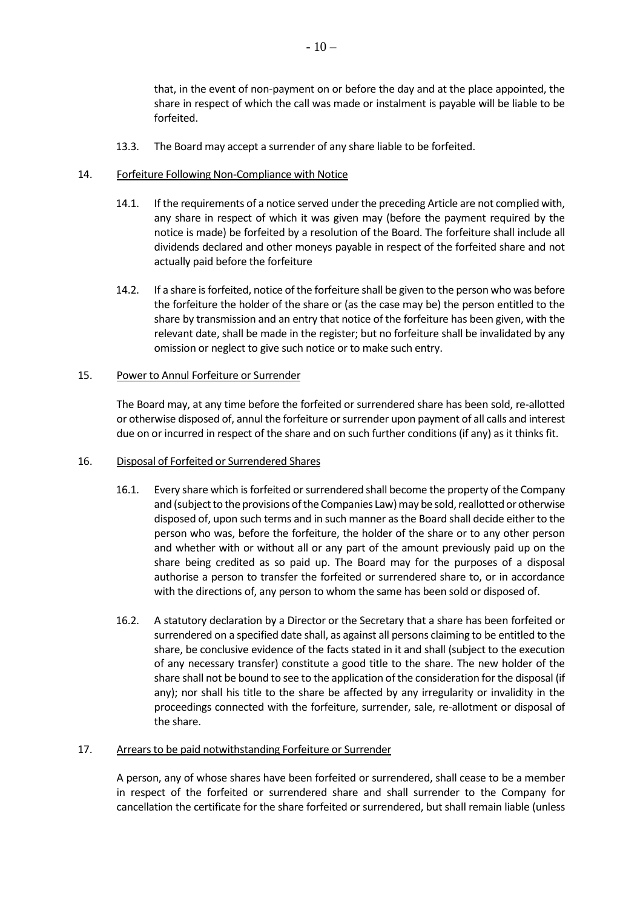that, in the event of non-payment on or before the day and at the place appointed, the share in respect of which the call was made or instalment is payable will be liable to be forfeited.

13.3. The Board may accept a surrender of any share liable to be forfeited.

## 14. Forfeiture Following Non-Compliance with Notice

- 14.1. If the requirements of a notice served under the preceding Article are not complied with, any share in respect of which it was given may (before the payment required by the notice is made) be forfeited by a resolution of the Board. The forfeiture shall include all dividends declared and other moneys payable in respect of the forfeited share and not actually paid before the forfeiture
- 14.2. If a share is forfeited, notice of the forfeiture shall be given to the person who was before the forfeiture the holder of the share or (as the case may be) the person entitled to the share by transmission and an entry that notice of the forfeiture has been given, with the relevant date, shall be made in the register; but no forfeiture shall be invalidated by any omission or neglect to give such notice or to make such entry.

## 15. Power to Annul Forfeiture or Surrender

The Board may, at any time before the forfeited or surrendered share has been sold, re-allotted or otherwise disposed of, annul the forfeiture or surrender upon payment of all calls and interest due on or incurred in respect of the share and on such further conditions (if any) as it thinks fit.

### 16. Disposal of Forfeited or Surrendered Shares

- 16.1. Every share which is forfeited or surrendered shall become the property of the Company and (subject to the provisions of the Companies Law) may be sold, reallotted or otherwise disposed of, upon such terms and in such manner as the Board shall decide either to the person who was, before the forfeiture, the holder of the share or to any other person and whether with or without all or any part of the amount previously paid up on the share being credited as so paid up. The Board may for the purposes of a disposal authorise a person to transfer the forfeited or surrendered share to, or in accordance with the directions of, any person to whom the same has been sold or disposed of.
- 16.2. A statutory declaration by a Director or the Secretary that a share has been forfeited or surrendered on a specified date shall, as against all persons claiming to be entitled to the share, be conclusive evidence of the facts stated in it and shall (subject to the execution of any necessary transfer) constitute a good title to the share. The new holder of the share shall not be bound to see to the application of the consideration for the disposal (if any); nor shall his title to the share be affected by any irregularity or invalidity in the proceedings connected with the forfeiture, surrender, sale, re-allotment or disposal of the share.

## 17. Arrears to be paid notwithstanding Forfeiture or Surrender

A person, any of whose shares have been forfeited or surrendered, shall cease to be a member in respect of the forfeited or surrendered share and shall surrender to the Company for cancellation the certificate for the share forfeited or surrendered, but shall remain liable (unless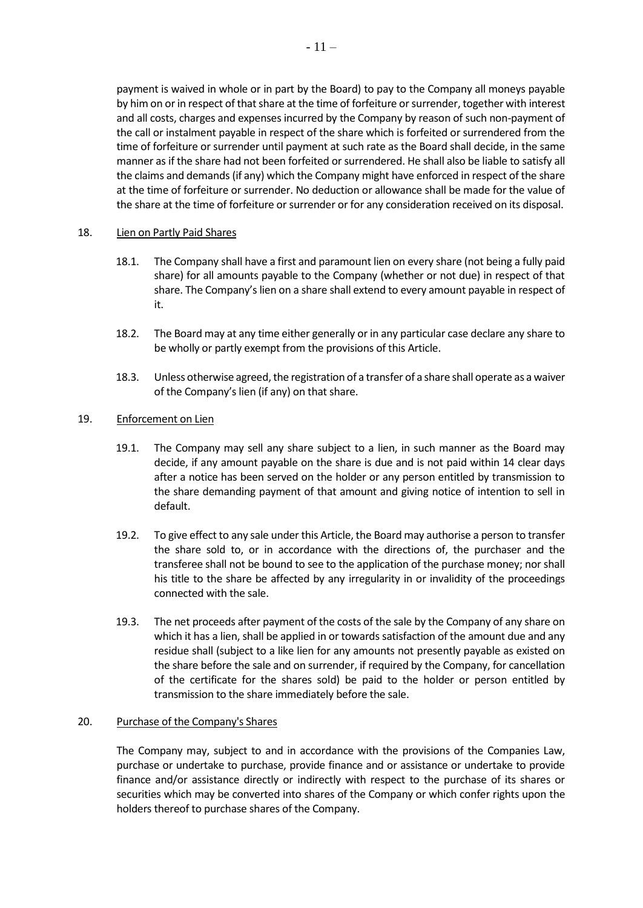payment is waived in whole or in part by the Board) to pay to the Company all moneys payable by him on or in respect of that share at the time of forfeiture or surrender, together with interest and all costs, charges and expenses incurred by the Company by reason of such non-payment of the call or instalment payable in respect of the share which is forfeited or surrendered from the time of forfeiture or surrender until payment at such rate as the Board shall decide, in the same manner as if the share had not been forfeited or surrendered. He shall also be liable to satisfy all the claims and demands (if any) which the Company might have enforced in respect of the share at the time of forfeiture or surrender. No deduction or allowance shall be made for the value of the share at the time of forfeiture or surrender or for any consideration received on its disposal.

## 18. Lien on Partly Paid Shares

- 18.1. The Company shall have a first and paramount lien on every share (not being a fully paid share) for all amounts payable to the Company (whether or not due) in respect of that share. The Company's lien on a share shall extend to every amount payable in respect of it.
- 18.2. The Board may at any time either generally or in any particular case declare any share to be wholly or partly exempt from the provisions of this Article.
- 18.3. Unless otherwise agreed, the registration of a transfer of a share shall operate as a waiver of the Company's lien (if any) on that share.

## 19. Enforcement on Lien

- 19.1. The Company may sell any share subject to a lien, in such manner as the Board may decide, if any amount payable on the share is due and is not paid within 14 clear days after a notice has been served on the holder or any person entitled by transmission to the share demanding payment of that amount and giving notice of intention to sell in default.
- 19.2. To give effect to any sale under this Article, the Board may authorise a person to transfer the share sold to, or in accordance with the directions of, the purchaser and the transferee shall not be bound to see to the application of the purchase money; nor shall his title to the share be affected by any irregularity in or invalidity of the proceedings connected with the sale.
- 19.3. The net proceeds after payment of the costs of the sale by the Company of any share on which it has a lien, shall be applied in or towards satisfaction of the amount due and any residue shall (subject to a like lien for any amounts not presently payable as existed on the share before the sale and on surrender, if required by the Company, for cancellation of the certificate for the shares sold) be paid to the holder or person entitled by transmission to the share immediately before the sale.

### 20. Purchase of the Company's Shares

The Company may, subject to and in accordance with the provisions of the Companies Law, purchase or undertake to purchase, provide finance and or assistance or undertake to provide finance and/or assistance directly or indirectly with respect to the purchase of its shares or securities which may be converted into shares of the Company or which confer rights upon the holders thereof to purchase shares of the Company.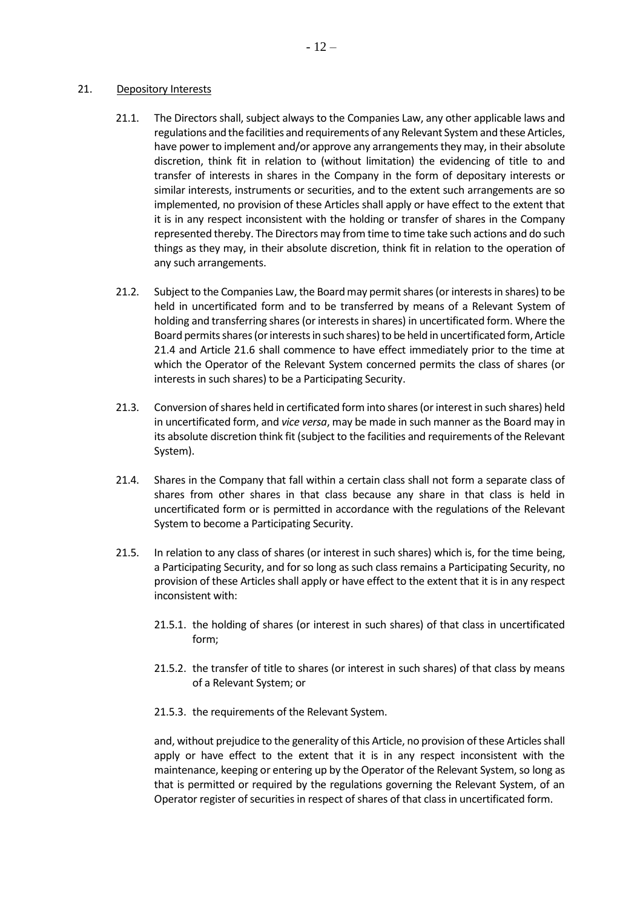#### <span id="page-11-0"></span>21. Depository Interests

- 21.1. The Directors shall, subject always to the Companies Law, any other applicable laws and regulations and the facilities and requirements of any Relevant System and these Articles, have power to implement and/or approve any arrangements they may, in their absolute discretion, think fit in relation to (without limitation) the evidencing of title to and transfer of interests in shares in the Company in the form of depositary interests or similar interests, instruments or securities, and to the extent such arrangements are so implemented, no provision of these Articles shall apply or have effect to the extent that it is in any respect inconsistent with the holding or transfer of shares in the Company represented thereby. The Directors may from time to time take such actions and do such things as they may, in their absolute discretion, think fit in relation to the operation of any such arrangements.
- 21.2. Subject to the Companies Law, the Board may permit shares (or interests in shares) to be held in uncertificated form and to be transferred by means of a Relevant System of holding and transferring shares (or interests in shares) in uncertificated form. Where the Board permits shares (or interests in such shares) to be held in uncertificated form, Article [21.4](#page-11-1) and Article [21.6](#page-12-0) shall commence to have effect immediately prior to the time at which the Operator of the Relevant System concerned permits the class of shares (or interests in such shares) to be a Participating Security.
- 21.3. Conversion of shares held in certificated form into shares (or interest in such shares) held in uncertificated form, and *vice versa*, may be made in such manner as the Board may in its absolute discretion think fit (subject to the facilities and requirements of the Relevant System).
- <span id="page-11-1"></span>21.4. Shares in the Company that fall within a certain class shall not form a separate class of shares from other shares in that class because any share in that class is held in uncertificated form or is permitted in accordance with the regulations of the Relevant System to become a Participating Security.
- 21.5. In relation to any class of shares (or interest in such shares) which is, for the time being, a Participating Security, and for so long as such class remains a Participating Security, no provision of these Articles shall apply or have effect to the extent that it is in any respect inconsistent with:
	- 21.5.1. the holding of shares (or interest in such shares) of that class in uncertificated form;
	- 21.5.2. the transfer of title to shares (or interest in such shares) of that class by means of a Relevant System; or
	- 21.5.3. the requirements of the Relevant System.

and, without prejudice to the generality of this Article, no provision of these Articles shall apply or have effect to the extent that it is in any respect inconsistent with the maintenance, keeping or entering up by the Operator of the Relevant System, so long as that is permitted or required by the regulations governing the Relevant System, of an Operator register of securities in respect of shares of that class in uncertificated form.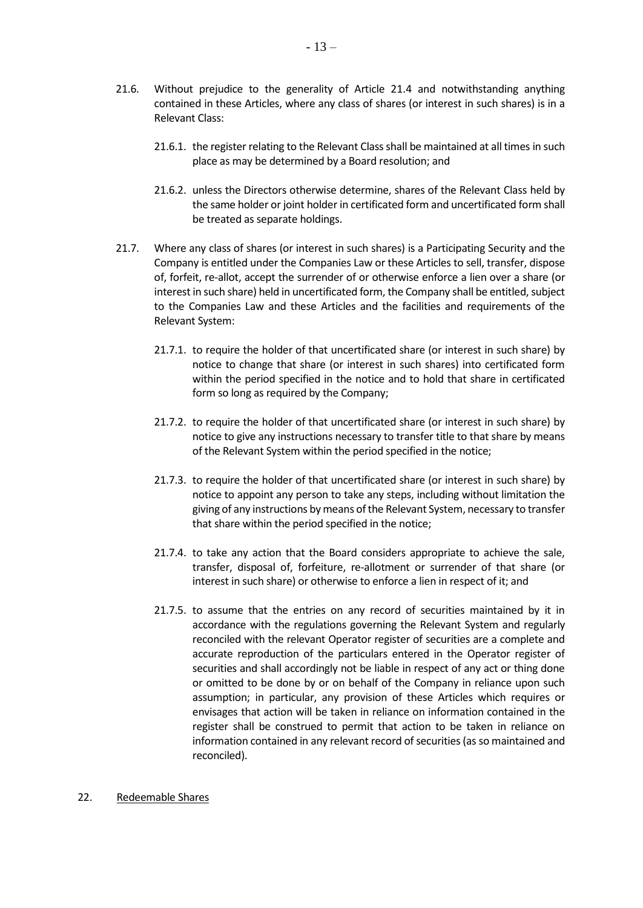- <span id="page-12-0"></span>21.6. Without prejudice to the generality of Article [21.4](#page-11-1) and notwithstanding anything contained in these Articles, where any class of shares (or interest in such shares) is in a Relevant Class:
	- 21.6.1. the register relating to the Relevant Class shall be maintained at all times in such place as may be determined by a Board resolution; and
	- 21.6.2. unless the Directors otherwise determine, shares of the Relevant Class held by the same holder or joint holder in certificated form and uncertificated form shall be treated as separate holdings.
- 21.7. Where any class of shares (or interest in such shares) is a Participating Security and the Company is entitled under the Companies Law or these Articles to sell, transfer, dispose of, forfeit, re-allot, accept the surrender of or otherwise enforce a lien over a share (or interest in such share) held in uncertificated form, the Company shall be entitled, subject to the Companies Law and these Articles and the facilities and requirements of the Relevant System:
	- 21.7.1. to require the holder of that uncertificated share (or interest in such share) by notice to change that share (or interest in such shares) into certificated form within the period specified in the notice and to hold that share in certificated form so long as required by the Company;
	- 21.7.2. to require the holder of that uncertificated share (or interest in such share) by notice to give any instructions necessary to transfer title to that share by means of the Relevant System within the period specified in the notice;
	- 21.7.3. to require the holder of that uncertificated share (or interest in such share) by notice to appoint any person to take any steps, including without limitation the giving of any instructions by means of the Relevant System, necessary to transfer that share within the period specified in the notice;
	- 21.7.4. to take any action that the Board considers appropriate to achieve the sale, transfer, disposal of, forfeiture, re-allotment or surrender of that share (or interest in such share) or otherwise to enforce a lien in respect of it; and
	- 21.7.5. to assume that the entries on any record of securities maintained by it in accordance with the regulations governing the Relevant System and regularly reconciled with the relevant Operator register of securities are a complete and accurate reproduction of the particulars entered in the Operator register of securities and shall accordingly not be liable in respect of any act or thing done or omitted to be done by or on behalf of the Company in reliance upon such assumption; in particular, any provision of these Articles which requires or envisages that action will be taken in reliance on information contained in the register shall be construed to permit that action to be taken in reliance on information contained in any relevant record of securities (as so maintained and reconciled).

#### 22. Redeemable Shares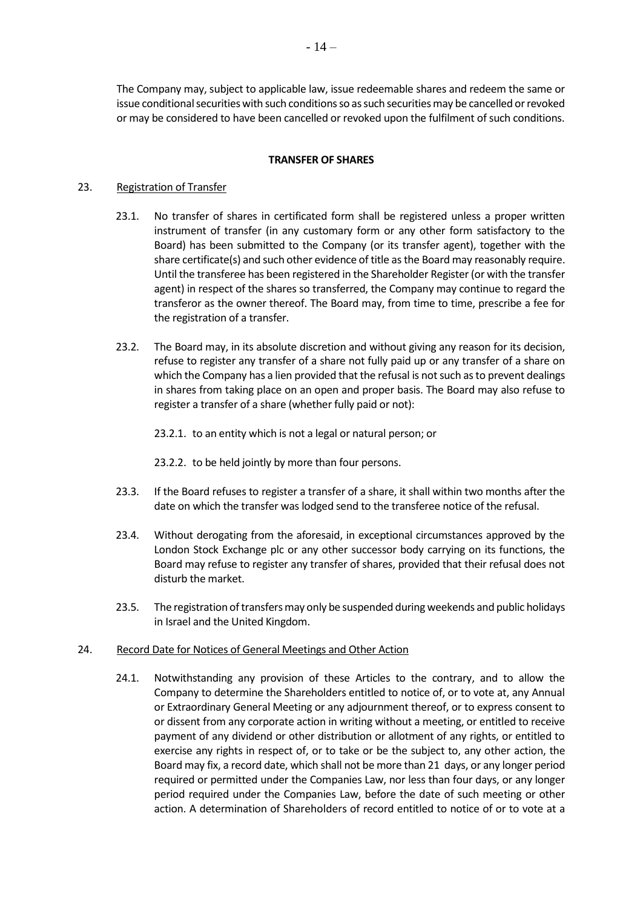The Company may, subject to applicable law, issue redeemable shares and redeem the same or issue conditional securities with such conditions so as such securities may be cancelled or revoked or may be considered to have been cancelled or revoked upon the fulfilment of such conditions.

## **TRANSFER OF SHARES**

# 23. Registration of Transfer

- 23.1. No transfer of shares in certificated form shall be registered unless a proper written instrument of transfer (in any customary form or any other form satisfactory to the Board) has been submitted to the Company (or its transfer agent), together with the share certificate(s) and such other evidence of title as the Board may reasonably require. Until the transferee has been registered in the Shareholder Register (or with the transfer agent) in respect of the shares so transferred, the Company may continue to regard the transferor as the owner thereof. The Board may, from time to time, prescribe a fee for the registration of a transfer.
- 23.2. The Board may, in its absolute discretion and without giving any reason for its decision, refuse to register any transfer of a share not fully paid up or any transfer of a share on which the Company has a lien provided that the refusal is not such as to prevent dealings in shares from taking place on an open and proper basis. The Board may also refuse to register a transfer of a share (whether fully paid or not):
	- 23.2.1. to an entity which is not a legal or natural person; or
	- 23.2.2. to be held jointly by more than four persons.
- 23.3. If the Board refuses to register a transfer of a share, it shall within two months after the date on which the transfer was lodged send to the transferee notice of the refusal.
- 23.4. Without derogating from the aforesaid, in exceptional circumstances approved by the London Stock Exchange plc or any other successor body carrying on its functions, the Board may refuse to register any transfer of shares, provided that their refusal does not disturb the market.
- 23.5. The registration of transfers may only be suspended during weekends and public holidays in Israel and the United Kingdom.

### 24. Record Date for Notices of General Meetings and Other Action

24.1. Notwithstanding any provision of these Articles to the contrary, and to allow the Company to determine the Shareholders entitled to notice of, or to vote at, any Annual or Extraordinary General Meeting or any adjournment thereof, or to express consent to or dissent from any corporate action in writing without a meeting, or entitled to receive payment of any dividend or other distribution or allotment of any rights, or entitled to exercise any rights in respect of, or to take or be the subject to, any other action, the Board may fix, a record date, which shall not be more than 21 days, or any longer period required or permitted under the Companies Law, nor less than four days, or any longer period required under the Companies Law, before the date of such meeting or other action. A determination of Shareholders of record entitled to notice of or to vote at a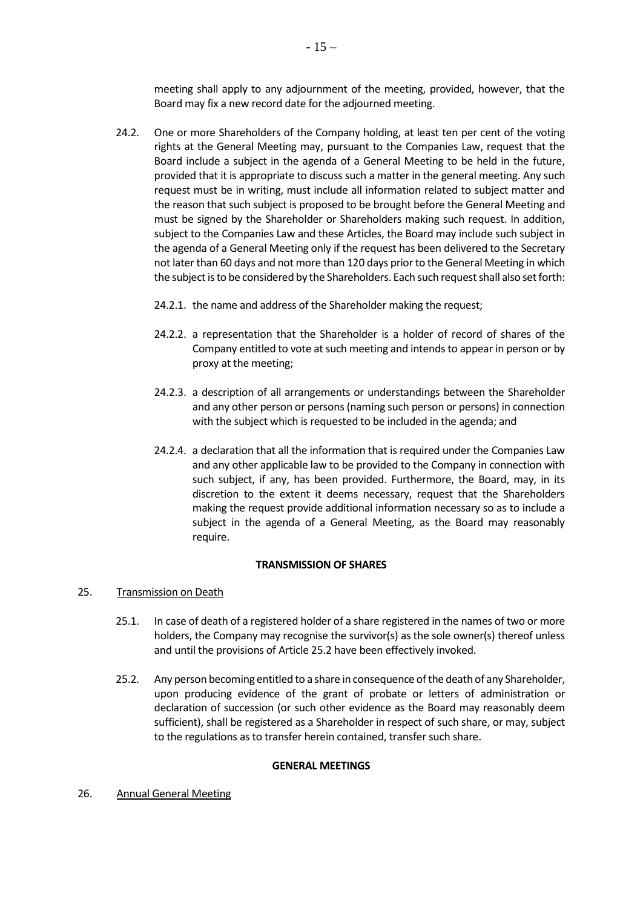meeting shall apply to any adjournment of the meeting, provided, however, that the Board may fix a new record date for the adjourned meeting.

- 24.2. One or more Shareholders of the Company holding, at least ten per cent of the voting rights at the General Meeting may, pursuant to the Companies Law, request that the Board include a subject in the agenda of a General Meeting to be held in the future, provided that it is appropriate to discuss such a matter in the general meeting. Any such request must be in writing, must include all information related to subject matter and the reason that such subject is proposed to be brought before the General Meeting and must be signed by the Shareholder or Shareholders making such request. In addition, subject to the Companies Law and these Articles, the Board may include such subject in the agenda of a General Meeting only if the request has been delivered to the Secretary not later than 60 days and not more than 120 days prior to the General Meeting in which the subject is to be considered by the Shareholders. Each such request shall also set forth:
	- 24.2.1. the name and address of the Shareholder making the request;
	- 24.2.2. a representation that the Shareholder is a holder of record of shares of the Company entitled to vote at such meeting and intends to appear in person or by proxy at the meeting;
	- 24.2.3. a description of all arrangements or understandings between the Shareholder and any other person or persons (naming such person or persons) in connection with the subject which is requested to be included in the agenda; and
	- 24.2.4. a declaration that all the information that is required under the Companies Law and any other applicable law to be provided to the Company in connection with such subject, if any, has been provided. Furthermore, the Board, may, in its discretion to the extent it deems necessary, request that the Shareholders making the request provide additional information necessary so as to include a subject in the agenda of a General Meeting, as the Board may reasonably require.

### **TRANSMISSION OF SHARES**

# <span id="page-14-1"></span>25. Transmission on Death

- 25.1. In case of death of a registered holder of a share registered in the names of two or more holders, the Company may recognise the survivor(s) as the sole owner(s) thereof unless and until the provisions of Articl[e 25.2](#page-14-0) have been effectively invoked.
- <span id="page-14-0"></span>25.2. Any person becoming entitled to a share in consequence of the death of any Shareholder, upon producing evidence of the grant of probate or letters of administration or declaration of succession (or such other evidence as the Board may reasonably deem sufficient), shall be registered as a Shareholder in respect of such share, or may, subject to the regulations as to transfer herein contained, transfer such share.

### **GENERAL MEETINGS**

26. Annual General Meeting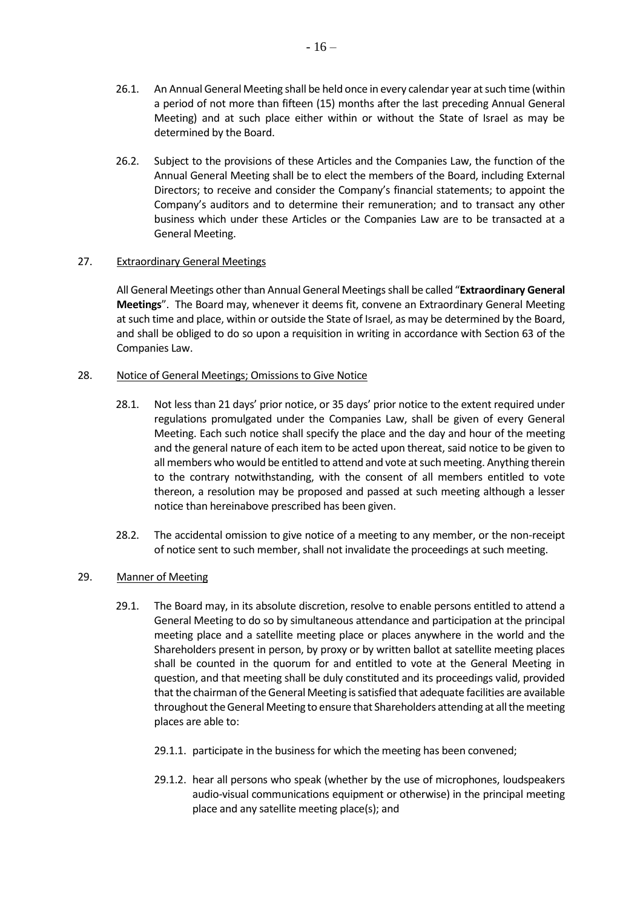- 26.1. An Annual General Meeting shall be held once in every calendar year at such time (within a period of not more than fifteen (15) months after the last preceding Annual General Meeting) and at such place either within or without the State of Israel as may be determined by the Board.
- 26.2. Subject to the provisions of these Articles and the Companies Law, the function of the Annual General Meeting shall be to elect the members of the Board, including External Directors; to receive and consider the Company's financial statements; to appoint the Company's auditors and to determine their remuneration; and to transact any other business which under these Articles or the Companies Law are to be transacted at a General Meeting.

## 27. Extraordinary General Meetings

All General Meetings other than Annual General Meetings shall be called "**Extraordinary General Meetings**". The Board may, whenever it deems fit, convene an Extraordinary General Meeting at such time and place, within or outside the State of Israel, as may be determined by the Board, and shall be obliged to do so upon a requisition in writing in accordance with Section 63 of the Companies Law.

## 28. Notice of General Meetings; Omissions to Give Notice

- 28.1. Not less than 21 days' prior notice, or 35 days' prior notice to the extent required under regulations promulgated under the Companies Law, shall be given of every General Meeting. Each such notice shall specify the place and the day and hour of the meeting and the general nature of each item to be acted upon thereat, said notice to be given to all members who would be entitled to attend and vote at such meeting. Anything therein to the contrary notwithstanding, with the consent of all members entitled to vote thereon, a resolution may be proposed and passed at such meeting although a lesser notice than hereinabove prescribed has been given.
- 28.2. The accidental omission to give notice of a meeting to any member, or the non-receipt of notice sent to such member, shall not invalidate the proceedings at such meeting.

# 29. Manner of Meeting

- 29.1. The Board may, in its absolute discretion, resolve to enable persons entitled to attend a General Meeting to do so by simultaneous attendance and participation at the principal meeting place and a satellite meeting place or places anywhere in the world and the Shareholders present in person, by proxy or by written ballot at satellite meeting places shall be counted in the quorum for and entitled to vote at the General Meeting in question, and that meeting shall be duly constituted and its proceedings valid, provided that the chairman of the General Meeting is satisfied that adequate facilities are available throughout the General Meeting to ensure that Shareholders attending at all the meeting places are able to:
	- 29.1.1. participate in the business for which the meeting has been convened;
	- 29.1.2. hear all persons who speak (whether by the use of microphones, loudspeakers audio-visual communications equipment or otherwise) in the principal meeting place and any satellite meeting place(s); and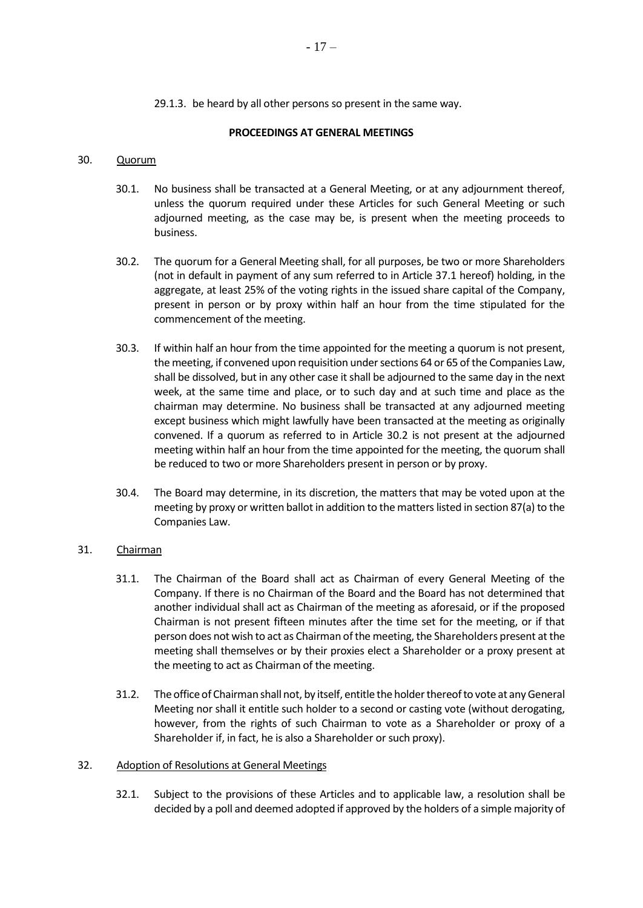29.1.3. be heard by all other persons so present in the same way.

#### **PROCEEDINGS AT GENERAL MEETINGS**

#### 30. Quorum

- 30.1. No business shall be transacted at a General Meeting, or at any adjournment thereof, unless the quorum required under these Articles for such General Meeting or such adjourned meeting, as the case may be, is present when the meeting proceeds to business.
- <span id="page-16-0"></span>30.2. The quorum for a General Meeting shall, for all purposes, be two or more Shareholders (not in default in payment of any sum referred to in Article [37.1](#page-18-0) hereof) holding, in the aggregate, at least 25% of the voting rights in the issued share capital of the Company, present in person or by proxy within half an hour from the time stipulated for the commencement of the meeting.
- <span id="page-16-1"></span>30.3. If within half an hour from the time appointed for the meeting a quorum is not present, the meeting, if convened upon requisition under sections 64 or 65 of the Companies Law, shall be dissolved, but in any other case it shall be adjourned to the same day in the next week, at the same time and place, or to such day and at such time and place as the chairman may determine. No business shall be transacted at any adjourned meeting except business which might lawfully have been transacted at the meeting as originally convened. If a quorum as referred to in Article [30.2](#page-16-0) is not present at the adjourned meeting within half an hour from the time appointed for the meeting, the quorum shall be reduced to two or more Shareholders present in person or by proxy.
- 30.4. The Board may determine, in its discretion, the matters that may be voted upon at the meeting by proxy or written ballot in addition to the matters listed in section 87(a) to the Companies Law.

## 31. Chairman

- 31.1. The Chairman of the Board shall act as Chairman of every General Meeting of the Company. If there is no Chairman of the Board and the Board has not determined that another individual shall act as Chairman of the meeting as aforesaid, or if the proposed Chairman is not present fifteen minutes after the time set for the meeting, or if that person does not wish to act as Chairman of the meeting, the Shareholders present at the meeting shall themselves or by their proxies elect a Shareholder or a proxy present at the meeting to act as Chairman of the meeting.
- 31.2. The office of Chairman shall not, by itself, entitle the holder thereof to vote at any General Meeting nor shall it entitle such holder to a second or casting vote (without derogating, however, from the rights of such Chairman to vote as a Shareholder or proxy of a Shareholder if, in fact, he is also a Shareholder or such proxy).

#### 32. Adoption of Resolutions at General Meetings

32.1. Subject to the provisions of these Articles and to applicable law, a resolution shall be decided by a poll and deemed adopted if approved by the holders of a simple majority of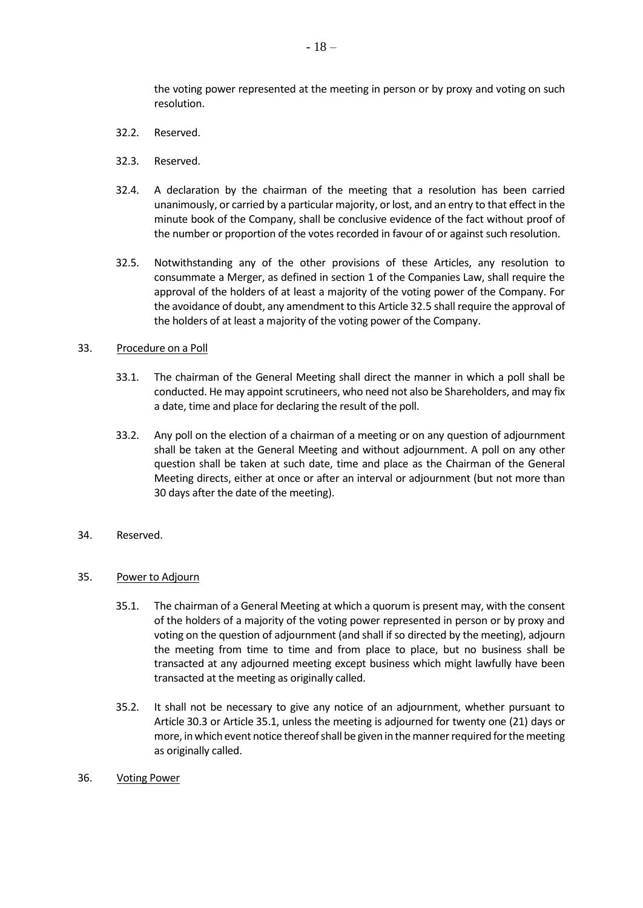the voting power represented at the meeting in person or by proxy and voting on such resolution.

- 32.2. Reserved.
- 32.3. Reserved.
- 32.4. A declaration by the chairman of the meeting that a resolution has been carried unanimously, or carried by a particular majority, or lost, and an entry to that effect in the minute book of the Company, shall be conclusive evidence of the fact without proof of the number or proportion of the votes recorded in favour of or against such resolution.
- <span id="page-17-0"></span>32.5. Notwithstanding any of the other provisions of these Articles, any resolution to consummate a Merger, as defined in section 1 of the Companies Law, shall require the approval of the holders of at least a majority of the voting power of the Company. For the avoidance of doubt, any amendment to this Articl[e 32.5](#page-17-0) shall require the approval of the holders of at least a majority of the voting power of the Company.

#### 33. Procedure on a Poll

- 33.1. The chairman of the General Meeting shall direct the manner in which a poll shall be conducted. He may appoint scrutineers, who need not also be Shareholders, and may fix a date, time and place for declaring the result of the poll.
- 33.2. Any poll on the election of a chairman of a meeting or on any question of adjournment shall be taken at the General Meeting and without adjournment. A poll on any other question shall be taken at such date, time and place as the Chairman of the General Meeting directs, either at once or after an interval or adjournment (but not more than 30 days after the date of the meeting).
- 34. Reserved.
- <span id="page-17-1"></span>35. Power to Adjourn
	- 35.1. The chairman of a General Meeting at which a quorum is present may, with the consent of the holders of a majority of the voting power represented in person or by proxy and voting on the question of adjournment (and shall if so directed by the meeting), adjourn the meeting from time to time and from place to place, but no business shall be transacted at any adjourned meeting except business which might lawfully have been transacted at the meeting as originally called.
	- 35.2. It shall not be necessary to give any notice of an adjournment, whether pursuant to Article [30.3](#page-16-1) or Article [35.1,](#page-17-1) unless the meeting is adjourned for twenty one (21) days or more, in which event notice thereof shall be given in the manner required for the meeting as originally called.
- 36. Voting Power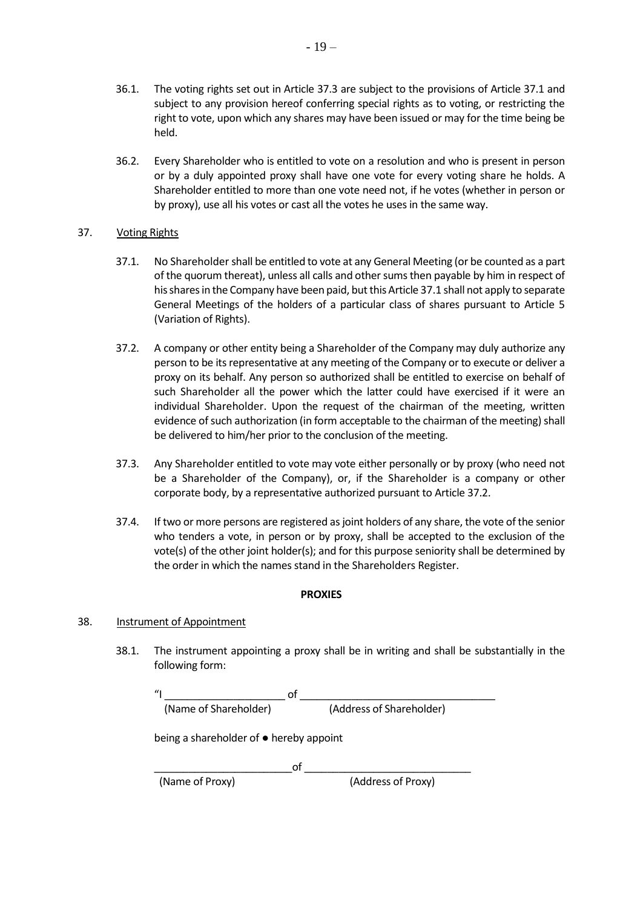- 36.1. The voting rights set out in Article [37.3](#page-18-1) are subject to the provisions of Article [37.1](#page-18-0) and subject to any provision hereof conferring special rights as to voting, or restricting the right to vote, upon which any shares may have been issued or may for the time being be held.
- 36.2. Every Shareholder who is entitled to vote on a resolution and who is present in person or by a duly appointed proxy shall have one vote for every voting share he holds. A Shareholder entitled to more than one vote need not, if he votes (whether in person or by proxy), use all his votes or cast all the votes he uses in the same way.

# 37. Voting Rights

- <span id="page-18-2"></span>37.1. No Shareholder shall be entitled to vote at any General Meeting (or be counted as a part of the quorum thereat), unless all calls and other sums then payable by him in respect of his shares in the Company have been paid, but this Articl[e 37.1](#page-18-2) shall not apply to separate General Meetings of the holders of a particular class of shares pursuant to Article [5](#page-4-0) (Variation of Rights).
- <span id="page-18-3"></span><span id="page-18-0"></span>37.2. A company or other entity being a Shareholder of the Company may duly authorize any person to be its representative at any meeting of the Company or to execute or deliver a proxy on its behalf. Any person so authorized shall be entitled to exercise on behalf of such Shareholder all the power which the latter could have exercised if it were an individual Shareholder. Upon the request of the chairman of the meeting, written evidence of such authorization (in form acceptable to the chairman of the meeting) shall be delivered to him/her prior to the conclusion of the meeting.
- <span id="page-18-1"></span>37.3. Any Shareholder entitled to vote may vote either personally or by proxy (who need not be a Shareholder of the Company), or, if the Shareholder is a company or other corporate body, by a representative authorized pursuant to Article [37.2.](#page-18-3)
- 37.4. If two or more persons are registered as joint holders of any share, the vote of the senior who tenders a vote, in person or by proxy, shall be accepted to the exclusion of the vote(s) of the other joint holder(s); and for this purpose seniority shall be determined by the order in which the names stand in the Shareholders Register.

# **PROXIES**

# 38. Instrument of Appointment

38.1. The instrument appointing a proxy shall be in writing and shall be substantially in the following form:

"I \_\_\_\_\_\_\_\_\_\_\_\_\_\_\_\_\_\_\_\_\_ of \_\_\_\_\_\_\_\_\_\_\_\_\_\_\_\_\_\_\_\_\_\_\_\_\_\_\_\_\_\_\_\_\_\_ (Name of Shareholder) (Address of Shareholder)

being a shareholder of ● hereby appoint

\_\_\_\_\_\_\_\_\_\_\_\_\_\_\_\_\_\_\_\_\_\_\_\_of \_\_\_\_\_\_\_\_\_\_\_\_\_\_\_\_\_\_\_\_\_\_\_\_\_\_\_\_\_ (Name of Proxy) (Address of Proxy)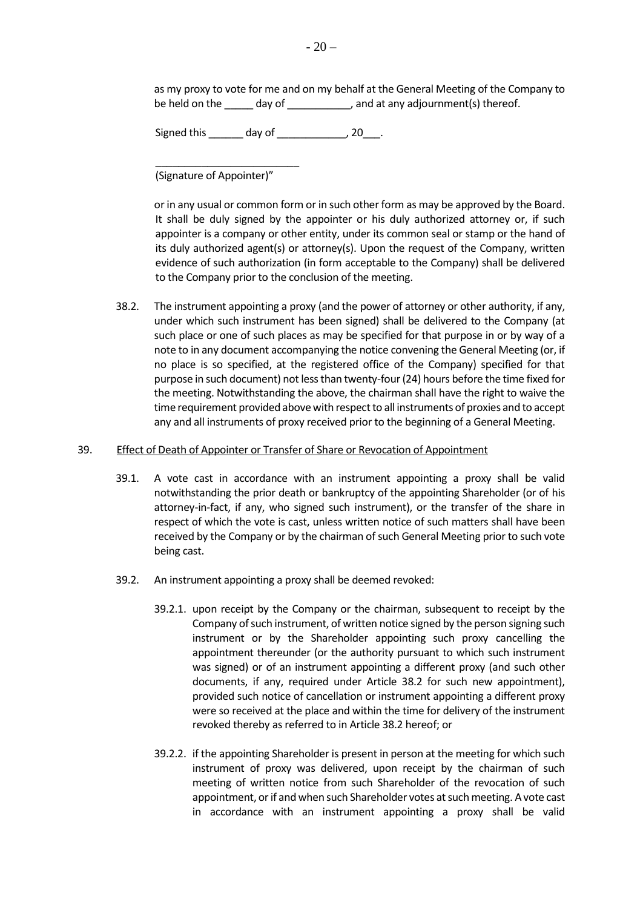as my proxy to vote for me and on my behalf at the General Meeting of the Company to be held on the \_\_\_\_\_ day of \_\_\_\_\_\_\_\_\_\_\_, and at any adjournment(s) thereof.

Signed this \_\_\_\_\_\_\_ day of \_\_\_\_\_\_\_\_\_\_\_\_, 20\_\_\_.

\_\_\_\_\_\_\_\_\_\_\_\_\_\_\_\_\_\_\_\_\_\_\_\_\_ (Signature of Appointer)"

or in any usual or common form or in such other form as may be approved by the Board. It shall be duly signed by the appointer or his duly authorized attorney or, if such appointer is a company or other entity, under its common seal or stamp or the hand of its duly authorized agent(s) or attorney(s). Upon the request of the Company, written evidence of such authorization (in form acceptable to the Company) shall be delivered to the Company prior to the conclusion of the meeting.

<span id="page-19-0"></span>38.2. The instrument appointing a proxy (and the power of attorney or other authority, if any, under which such instrument has been signed) shall be delivered to the Company (at such place or one of such places as may be specified for that purpose in or by way of a note to in any document accompanying the notice convening the General Meeting (or, if no place is so specified, at the registered office of the Company) specified for that purpose in such document) not less than twenty-four (24) hours before the time fixed for the meeting. Notwithstanding the above, the chairman shall have the right to waive the time requirement provided above with respect to all instruments of proxies and to accept any and all instruments of proxy received prior to the beginning of a General Meeting.

#### 39. Effect of Death of Appointer or Transfer of Share or Revocation of Appointment

- 39.1. A vote cast in accordance with an instrument appointing a proxy shall be valid notwithstanding the prior death or bankruptcy of the appointing Shareholder (or of his attorney-in-fact, if any, who signed such instrument), or the transfer of the share in respect of which the vote is cast, unless written notice of such matters shall have been received by the Company or by the chairman of such General Meeting prior to such vote being cast.
- <span id="page-19-1"></span>39.2. An instrument appointing a proxy shall be deemed revoked:
	- 39.2.1. upon receipt by the Company or the chairman, subsequent to receipt by the Company of such instrument, of written notice signed by the person signing such instrument or by the Shareholder appointing such proxy cancelling the appointment thereunder (or the authority pursuant to which such instrument was signed) or of an instrument appointing a different proxy (and such other documents, if any, required under Article [38.2](#page-19-0) for such new appointment), provided such notice of cancellation or instrument appointing a different proxy were so received at the place and within the time for delivery of the instrument revoked thereby as referred to in Articl[e 38.2](#page-19-0) hereof; or
	- 39.2.2. if the appointing Shareholder is present in person at the meeting for which such instrument of proxy was delivered, upon receipt by the chairman of such meeting of written notice from such Shareholder of the revocation of such appointment, or if and when such Shareholder votes at such meeting. A vote cast in accordance with an instrument appointing a proxy shall be valid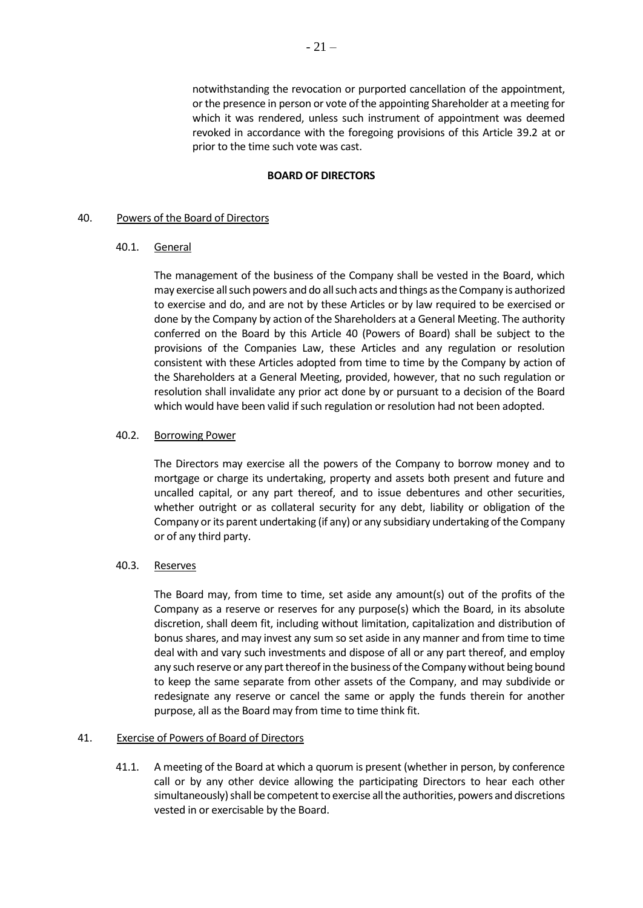notwithstanding the revocation or purported cancellation of the appointment, or the presence in person or vote of the appointing Shareholder at a meeting for which it was rendered, unless such instrument of appointment was deemed revoked in accordance with the foregoing provisions of this Article [39.2](#page-19-1) at or prior to the time such vote was cast.

#### **BOARD OF DIRECTORS**

#### <span id="page-20-0"></span>40. Powers of the Board of Directors

#### 40.1. General

The management of the business of the Company shall be vested in the Board, which may exercise all such powers and do all such acts and things as the Company is authorized to exercise and do, and are not by these Articles or by law required to be exercised or done by the Company by action of the Shareholders at a General Meeting. The authority conferred on the Board by this Article [40](#page-20-0) (Powers of Board) shall be subject to the provisions of the Companies Law, these Articles and any regulation or resolution consistent with these Articles adopted from time to time by the Company by action of the Shareholders at a General Meeting, provided, however, that no such regulation or resolution shall invalidate any prior act done by or pursuant to a decision of the Board which would have been valid if such regulation or resolution had not been adopted.

#### 40.2. Borrowing Power

The Directors may exercise all the powers of the Company to borrow money and to mortgage or charge its undertaking, property and assets both present and future and uncalled capital, or any part thereof, and to issue debentures and other securities, whether outright or as collateral security for any debt, liability or obligation of the Company or its parent undertaking (if any) or any subsidiary undertaking of the Company or of any third party.

### 40.3. Reserves

The Board may, from time to time, set aside any amount(s) out of the profits of the Company as a reserve or reserves for any purpose(s) which the Board, in its absolute discretion, shall deem fit, including without limitation, capitalization and distribution of bonus shares, and may invest any sum so set aside in any manner and from time to time deal with and vary such investments and dispose of all or any part thereof, and employ any such reserve or any part thereof in the business of the Company without being bound to keep the same separate from other assets of the Company, and may subdivide or redesignate any reserve or cancel the same or apply the funds therein for another purpose, all as the Board may from time to time think fit.

#### 41. Exercise of Powers of Board of Directors

41.1. A meeting of the Board at which a quorum is present (whether in person, by conference call or by any other device allowing the participating Directors to hear each other simultaneously) shall be competent to exercise all the authorities, powers and discretions vested in or exercisable by the Board.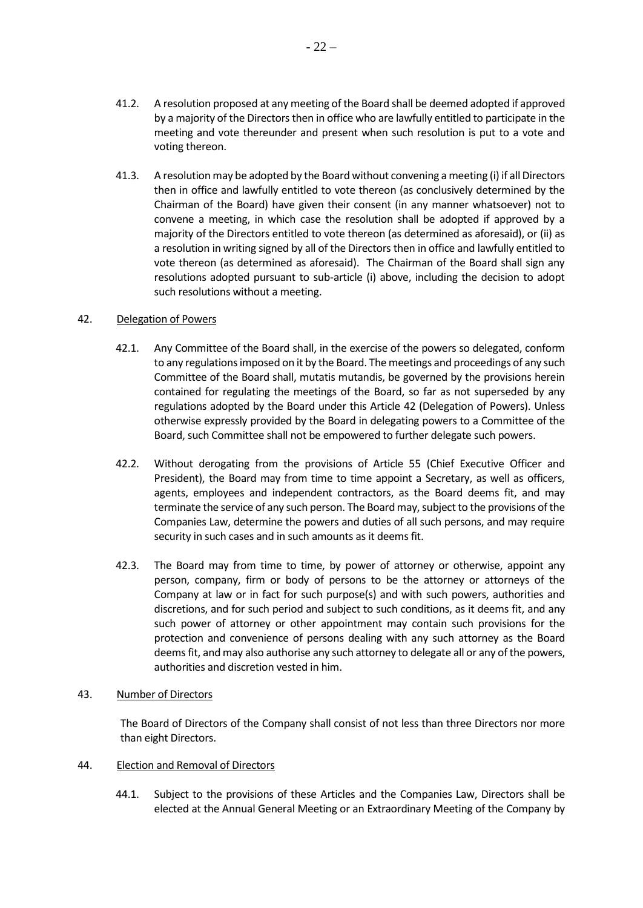$-22-$ 

- 41.2. A resolution proposed at any meeting of the Board shall be deemed adopted if approved by a majority of the Directors then in office who are lawfully entitled to participate in the meeting and vote thereunder and present when such resolution is put to a vote and voting thereon.
- 41.3. A resolution may be adopted by the Board without convening a meeting (i) if all Directors then in office and lawfully entitled to vote thereon (as conclusively determined by the Chairman of the Board) have given their consent (in any manner whatsoever) not to convene a meeting, in which case the resolution shall be adopted if approved by a majority of the Directors entitled to vote thereon (as determined as aforesaid), or (ii) as a resolution in writing signed by all of the Directors then in office and lawfully entitled to vote thereon (as determined as aforesaid). The Chairman of the Board shall sign any resolutions adopted pursuant to sub-article (i) above, including the decision to adopt such resolutions without a meeting.

### <span id="page-21-1"></span>42. Delegation of Powers

- 42.1. Any Committee of the Board shall, in the exercise of the powers so delegated, conform to any regulations imposed on it by the Board. The meetings and proceedings of any such Committee of the Board shall, mutatis mutandis, be governed by the provisions herein contained for regulating the meetings of the Board, so far as not superseded by any regulations adopted by the Board under this Article [42](#page-21-1) (Delegation of Powers). Unless otherwise expressly provided by the Board in delegating powers to a Committee of the Board, such Committee shall not be empowered to further delegate such powers.
- 42.2. Without derogating from the provisions of Article [55](#page-25-0) (Chief Executive Officer and President), the Board may from time to time appoint a Secretary, as well as officers, agents, employees and independent contractors, as the Board deems fit, and may terminate the service of any such person. The Board may, subject to the provisions of the Companies Law, determine the powers and duties of all such persons, and may require security in such cases and in such amounts as it deems fit.
- 42.3. The Board may from time to time, by power of attorney or otherwise, appoint any person, company, firm or body of persons to be the attorney or attorneys of the Company at law or in fact for such purpose(s) and with such powers, authorities and discretions, and for such period and subject to such conditions, as it deems fit, and any such power of attorney or other appointment may contain such provisions for the protection and convenience of persons dealing with any such attorney as the Board deems fit, and may also authorise any such attorney to delegate all or any of the powers, authorities and discretion vested in him.

### <span id="page-21-0"></span>43. Number of Directors

The Board of Directors of the Company shall consist of not less than three Directors nor more than eight Directors.

# <span id="page-21-2"></span>44. Election and Removal of Directors

44.1. Subject to the provisions of these Articles and the Companies Law, Directors shall be elected at the Annual General Meeting or an Extraordinary Meeting of the Company by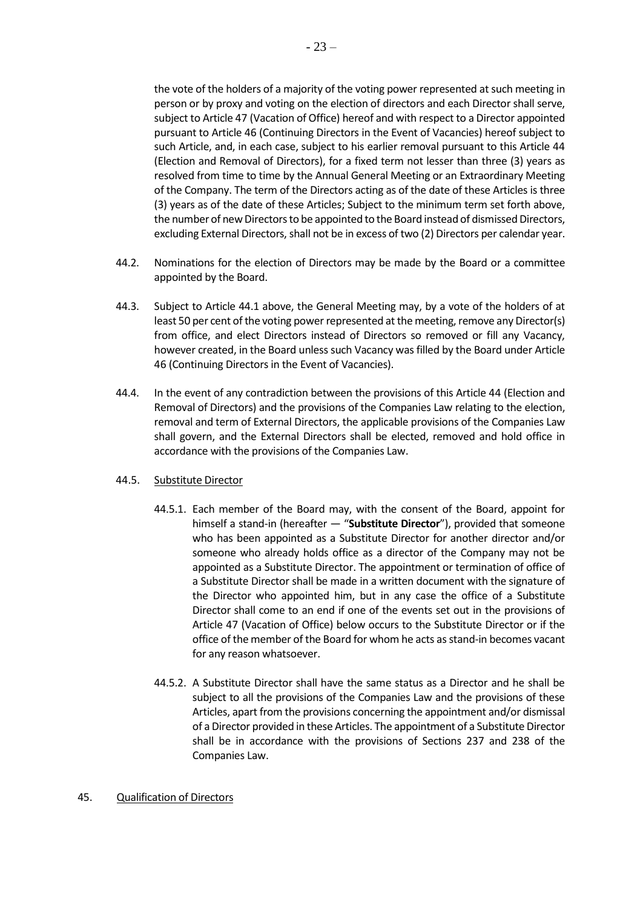the vote of the holders of a majority of the voting power represented at such meeting in person or by proxy and voting on the election of directors and each Director shall serve, subject to Articl[e 47](#page-23-0) (Vacation of Office) hereof and with respect to a Director appointed pursuant to Articl[e 46](#page-23-1) (Continuing Directors in the Event of Vacancies) hereof subject to such Article, and, in each case, subject to his earlier removal pursuant to this Article [44](#page-21-2) (Election and Removal of Directors), for a fixed term not lesser than three (3) years as resolved from time to time by the Annual General Meeting or an Extraordinary Meeting of the Company. The term of the Directors acting as of the date of these Articles is three (3) years as of the date of these Articles; Subject to the minimum term set forth above, the number of new Directors to be appointed to the Board instead of dismissed Directors, excluding External Directors, shall not be in excess of two (2) Directors per calendar year.

- 44.2. Nominations for the election of Directors may be made by the Board or a committee appointed by the Board.
- 44.3. Subject to Article 44.1 above, the General Meeting may, by a vote of the holders of at least 50 per cent of the voting power represented at the meeting, remove any Director(s) from office, and elect Directors instead of Directors so removed or fill any Vacancy, however created, in the Board unless such Vacancy was filled by the Board under Article [46](#page-23-1) (Continuing Directors in the Event of Vacancies).
- 44.4. In the event of any contradiction between the provisions of this Article [44](#page-21-2) (Election and Removal of Directors) and the provisions of the Companies Law relating to the election, removal and term of External Directors, the applicable provisions of the Companies Law shall govern, and the External Directors shall be elected, removed and hold office in accordance with the provisions of the Companies Law.

### 44.5. Substitute Director

- 44.5.1. Each member of the Board may, with the consent of the Board, appoint for himself a stand-in (hereafter — "**Substitute Director**"), provided that someone who has been appointed as a Substitute Director for another director and/or someone who already holds office as a director of the Company may not be appointed as a Substitute Director. The appointment or termination of office of a Substitute Director shall be made in a written document with the signature of the Director who appointed him, but in any case the office of a Substitute Director shall come to an end if one of the events set out in the provisions of Article [47](#page-23-0) (Vacation of Office) below occurs to the Substitute Director or if the office of the member of the Board for whom he acts as stand-in becomes vacant for any reason whatsoever.
- 44.5.2. A Substitute Director shall have the same status as a Director and he shall be subject to all the provisions of the Companies Law and the provisions of these Articles, apart from the provisions concerning the appointment and/or dismissal of a Director provided in these Articles. The appointment of a Substitute Director shall be in accordance with the provisions of Sections 237 and 238 of the Companies Law.

## 45. Qualification of Directors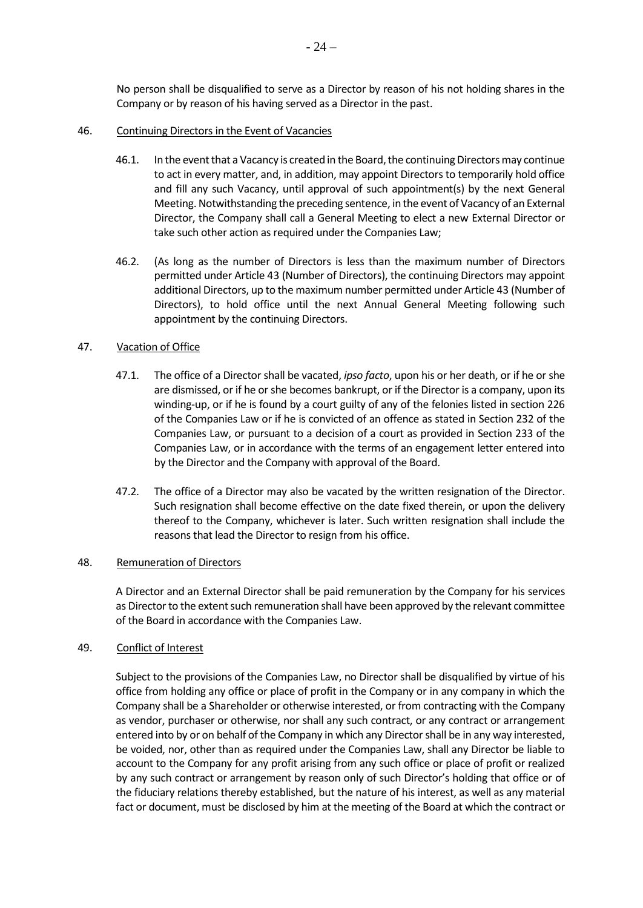No person shall be disqualified to serve as a Director by reason of his not holding shares in the Company or by reason of his having served as a Director in the past.

#### <span id="page-23-1"></span>46. Continuing Directors in the Event of Vacancies

- 46.1. In the event that a Vacancy is created in the Board, the continuing Directors may continue to act in every matter, and, in addition, may appoint Directors to temporarily hold office and fill any such Vacancy, until approval of such appointment(s) by the next General Meeting. Notwithstanding the preceding sentence, in the event of Vacancy of an External Director, the Company shall call a General Meeting to elect a new External Director or take such other action as required under the Companies Law;
- 46.2. (As long as the number of Directors is less than the maximum number of Directors permitted under Articl[e 43](#page-21-0) (Number of Directors), the continuing Directors may appoint additional Directors, up to the maximum number permitted under Articl[e 43](#page-21-0) (Number of Directors), to hold office until the next Annual General Meeting following such appointment by the continuing Directors.

#### <span id="page-23-0"></span>47. Vacation of Office

- 47.1. The office of a Director shall be vacated, *ipso facto*, upon his or her death, or if he or she are dismissed, or if he or she becomes bankrupt, or if the Director is a company, upon its winding-up, or if he is found by a court guilty of any of the felonies listed in section 226 of the Companies Law or if he is convicted of an offence as stated in Section 232 of the Companies Law, or pursuant to a decision of a court as provided in Section 233 of the Companies Law, or in accordance with the terms of an engagement letter entered into by the Director and the Company with approval of the Board.
- 47.2. The office of a Director may also be vacated by the written resignation of the Director. Such resignation shall become effective on the date fixed therein, or upon the delivery thereof to the Company, whichever is later. Such written resignation shall include the reasons that lead the Director to resign from his office.

#### 48. Remuneration of Directors

A Director and an External Director shall be paid remuneration by the Company for his services as Director to the extent such remuneration shall have been approved by the relevant committee of the Board in accordance with the Companies Law.

#### 49. Conflict of Interest

Subject to the provisions of the Companies Law, no Director shall be disqualified by virtue of his office from holding any office or place of profit in the Company or in any company in which the Company shall be a Shareholder or otherwise interested, or from contracting with the Company as vendor, purchaser or otherwise, nor shall any such contract, or any contract or arrangement entered into by or on behalf of the Company in which any Director shall be in any way interested, be voided, nor, other than as required under the Companies Law, shall any Director be liable to account to the Company for any profit arising from any such office or place of profit or realized by any such contract or arrangement by reason only of such Director's holding that office or of the fiduciary relations thereby established, but the nature of his interest, as well as any material fact or document, must be disclosed by him at the meeting of the Board at which the contract or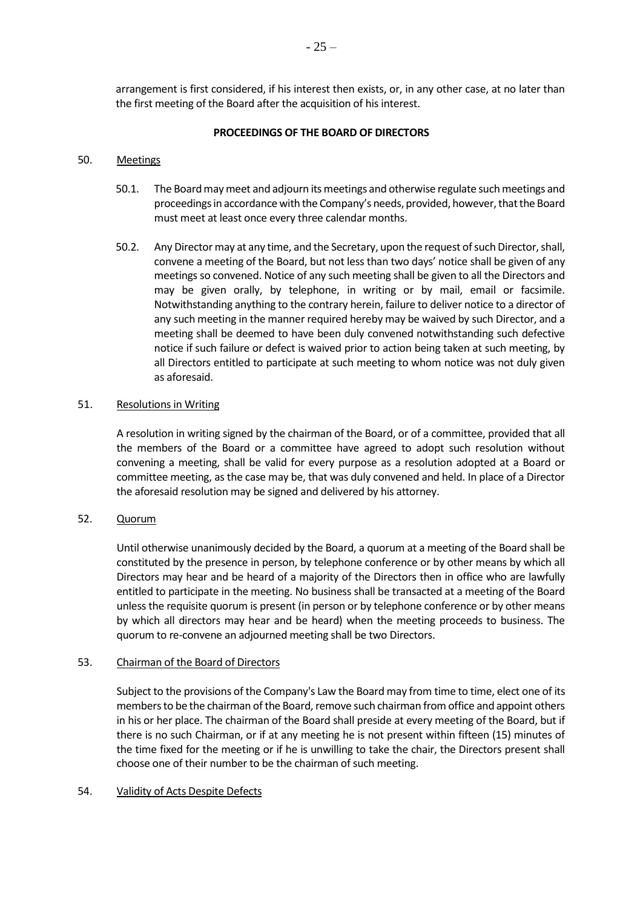arrangement is first considered, if his interest then exists, or, in any other case, at no later than the first meeting of the Board after the acquisition of his interest.

### **PROCEEDINGS OF THE BOARD OF DIRECTORS**

## 50. Meetings

- 50.1. The Board may meet and adjourn its meetings and otherwise regulate such meetings and proceedings in accordance with the Company's needs, provided, however, that the Board must meet at least once every three calendar months.
- 50.2. Any Director may at any time, and the Secretary, upon the request of such Director, shall, convene a meeting of the Board, but not less than two days' notice shall be given of any meetings so convened. Notice of any such meeting shall be given to all the Directors and may be given orally, by telephone, in writing or by mail, email or facsimile. Notwithstanding anything to the contrary herein, failure to deliver notice to a director of any such meeting in the manner required hereby may be waived by such Director, and a meeting shall be deemed to have been duly convened notwithstanding such defective notice if such failure or defect is waived prior to action being taken at such meeting, by all Directors entitled to participate at such meeting to whom notice was not duly given as aforesaid.

### 51. Resolutions in Writing

A resolution in writing signed by the chairman of the Board, or of a committee, provided that all the members of the Board or a committee have agreed to adopt such resolution without convening a meeting, shall be valid for every purpose as a resolution adopted at a Board or committee meeting, as the case may be, that was duly convened and held. In place of a Director the aforesaid resolution may be signed and delivered by his attorney.

52. Quorum

Until otherwise unanimously decided by the Board, a quorum at a meeting of the Board shall be constituted by the presence in person, by telephone conference or by other means by which all Directors may hear and be heard of a majority of the Directors then in office who are lawfully entitled to participate in the meeting. No business shall be transacted at a meeting of the Board unless the requisite quorum is present (in person or by telephone conference or by other means by which all directors may hear and be heard) when the meeting proceeds to business. The quorum to re-convene an adjourned meeting shall be two Directors.

### 53. Chairman of the Board of Directors

Subject to the provisions of the Company's Law the Board may from time to time, elect one of its members to be the chairman of the Board, remove such chairman from office and appoint others in his or her place. The chairman of the Board shall preside at every meeting of the Board, but if there is no such Chairman, or if at any meeting he is not present within fifteen (15) minutes of the time fixed for the meeting or if he is unwilling to take the chair, the Directors present shall choose one of their number to be the chairman of such meeting.

### 54. Validity of Acts Despite Defects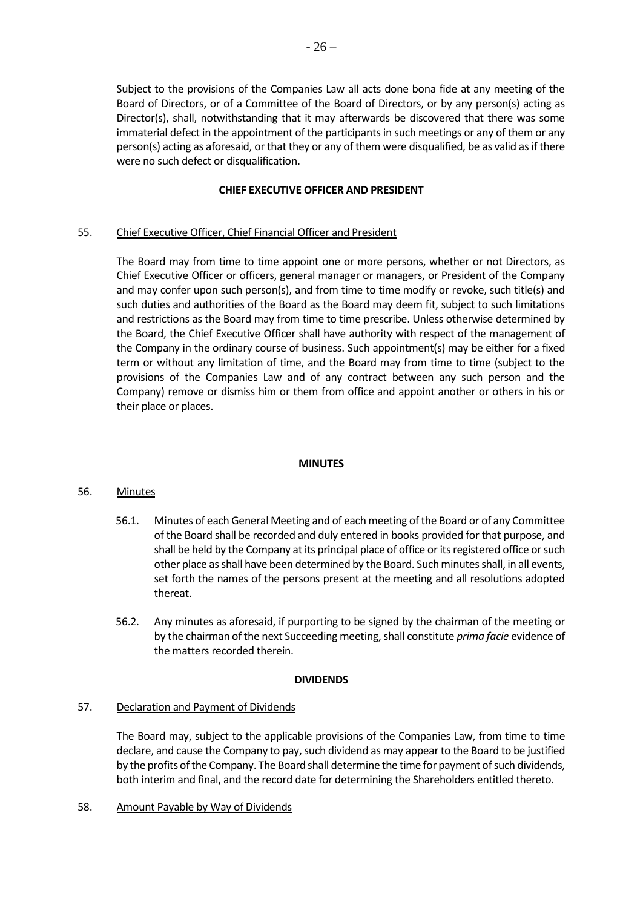Subject to the provisions of the Companies Law all acts done bona fide at any meeting of the Board of Directors, or of a Committee of the Board of Directors, or by any person(s) acting as Director(s), shall, notwithstanding that it may afterwards be discovered that there was some immaterial defect in the appointment of the participants in such meetings or any of them or any person(s) acting as aforesaid, or that they or any of them were disqualified, be as valid as if there were no such defect or disqualification.

### **CHIEF EXECUTIVE OFFICER AND PRESIDENT**

## <span id="page-25-0"></span>55. Chief Executive Officer, Chief Financial Officer and President

The Board may from time to time appoint one or more persons, whether or not Directors, as Chief Executive Officer or officers, general manager or managers, or President of the Company and may confer upon such person(s), and from time to time modify or revoke, such title(s) and such duties and authorities of the Board as the Board may deem fit, subject to such limitations and restrictions as the Board may from time to time prescribe. Unless otherwise determined by the Board, the Chief Executive Officer shall have authority with respect of the management of the Company in the ordinary course of business. Such appointment(s) may be either for a fixed term or without any limitation of time, and the Board may from time to time (subject to the provisions of the Companies Law and of any contract between any such person and the Company) remove or dismiss him or them from office and appoint another or others in his or their place or places.

### **MINUTES**

### 56. Minutes

- 56.1. Minutes of each General Meeting and of each meeting of the Board or of any Committee of the Board shall be recorded and duly entered in books provided for that purpose, and shall be held by the Company at its principal place of office or its registered office or such other place as shall have been determined by the Board. Such minutes shall, in all events, set forth the names of the persons present at the meeting and all resolutions adopted thereat.
- 56.2. Any minutes as aforesaid, if purporting to be signed by the chairman of the meeting or by the chairman of the next Succeeding meeting, shall constitute *prima facie* evidence of the matters recorded therein.

### **DIVIDENDS**

# 57. Declaration and Payment of Dividends

The Board may, subject to the applicable provisions of the Companies Law, from time to time declare, and cause the Company to pay, such dividend as may appear to the Board to be justified by the profits of the Company. The Board shall determine the time for payment of such dividends, both interim and final, and the record date for determining the Shareholders entitled thereto.

### <span id="page-25-1"></span>58. Amount Payable by Way of Dividends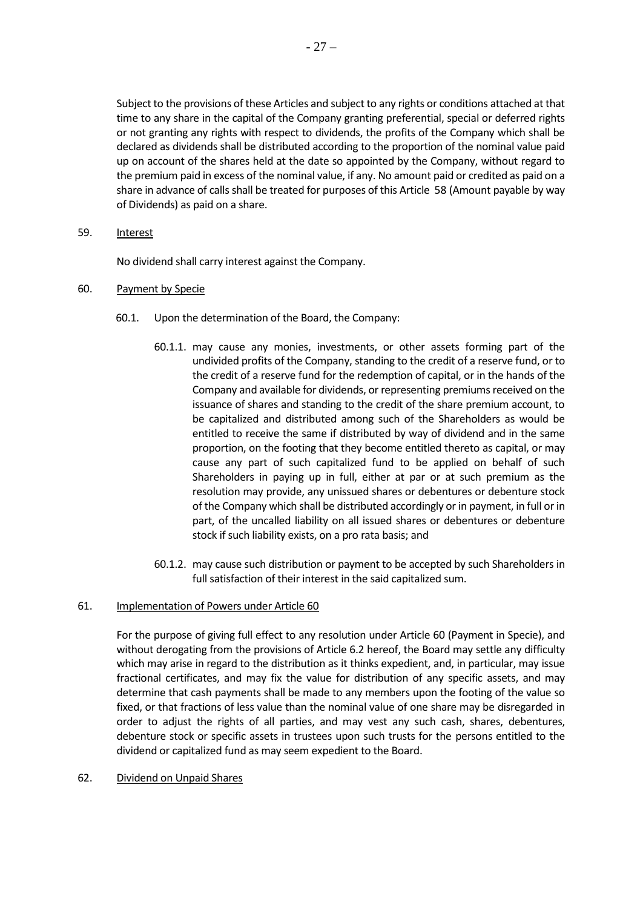Subject to the provisions of these Articles and subject to any rights or conditions attached at that time to any share in the capital of the Company granting preferential, special or deferred rights or not granting any rights with respect to dividends, the profits of the Company which shall be declared as dividends shall be distributed according to the proportion of the nominal value paid up on account of the shares held at the date so appointed by the Company, without regard to the premium paid in excess of the nominal value, if any. No amount paid or credited as paid on a share in advance of calls shall be treated for purposes of this Article [58](#page-25-1) (Amount payable by way of Dividends) as paid on a share.

59. Interest

No dividend shall carry interest against the Company.

- <span id="page-26-0"></span>60. Payment by Specie
	- 60.1. Upon the determination of the Board, the Company:
		- 60.1.1. may cause any monies, investments, or other assets forming part of the undivided profits of the Company, standing to the credit of a reserve fund, or to the credit of a reserve fund for the redemption of capital, or in the hands of the Company and available for dividends, or representing premiums received on the issuance of shares and standing to the credit of the share premium account, to be capitalized and distributed among such of the Shareholders as would be entitled to receive the same if distributed by way of dividend and in the same proportion, on the footing that they become entitled thereto as capital, or may cause any part of such capitalized fund to be applied on behalf of such Shareholders in paying up in full, either at par or at such premium as the resolution may provide, any unissued shares or debentures or debenture stock of the Company which shall be distributed accordingly or in payment, in full or in part, of the uncalled liability on all issued shares or debentures or debenture stock if such liability exists, on a pro rata basis; and
		- 60.1.2. may cause such distribution or payment to be accepted by such Shareholders in full satisfaction of their interest in the said capitalized sum.

### 61. Implementation of Powers under Articl[e 60](#page-26-0)

For the purpose of giving full effect to any resolution under Article [60](#page-26-0) (Payment in Specie), and without derogating from the provisions of Article [6.2](#page-5-1) hereof, the Board may settle any difficulty which may arise in regard to the distribution as it thinks expedient, and, in particular, may issue fractional certificates, and may fix the value for distribution of any specific assets, and may determine that cash payments shall be made to any members upon the footing of the value so fixed, or that fractions of less value than the nominal value of one share may be disregarded in order to adjust the rights of all parties, and may vest any such cash, shares, debentures, debenture stock or specific assets in trustees upon such trusts for the persons entitled to the dividend or capitalized fund as may seem expedient to the Board.

#### 62. Dividend on Unpaid Shares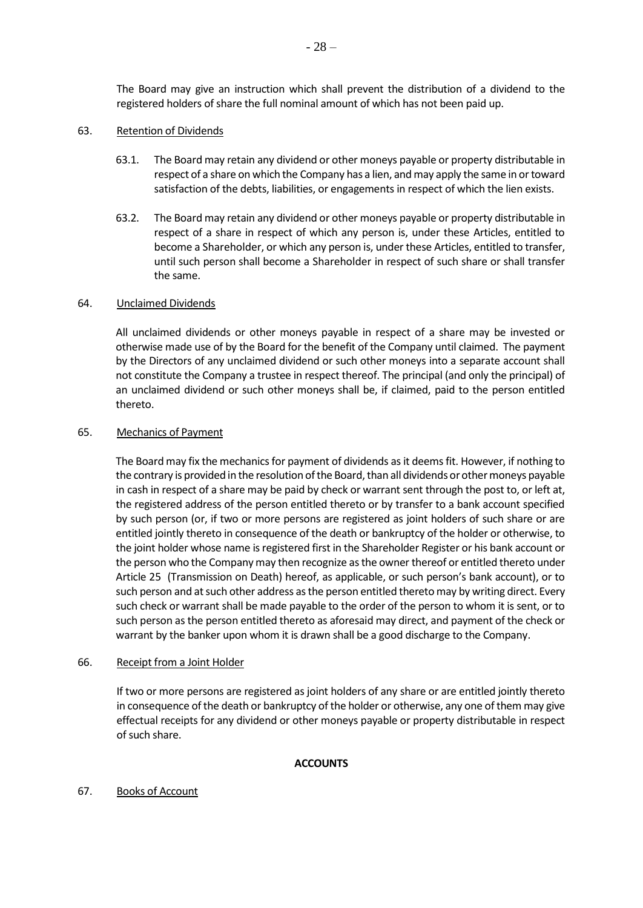The Board may give an instruction which shall prevent the distribution of a dividend to the registered holders of share the full nominal amount of which has not been paid up.

#### 63. Retention of Dividends

- 63.1. The Board may retain any dividend or other moneys payable or property distributable in respect of a share on which the Company has a lien, and may apply the same in or toward satisfaction of the debts, liabilities, or engagements in respect of which the lien exists.
- 63.2. The Board may retain any dividend or other moneys payable or property distributable in respect of a share in respect of which any person is, under these Articles, entitled to become a Shareholder, or which any person is, under these Articles, entitled to transfer, until such person shall become a Shareholder in respect of such share or shall transfer the same.

#### 64. Unclaimed Dividends

All unclaimed dividends or other moneys payable in respect of a share may be invested or otherwise made use of by the Board for the benefit of the Company until claimed. The payment by the Directors of any unclaimed dividend or such other moneys into a separate account shall not constitute the Company a trustee in respect thereof. The principal (and only the principal) of an unclaimed dividend or such other moneys shall be, if claimed, paid to the person entitled thereto.

#### 65. Mechanics of Payment

The Board may fix the mechanics for payment of dividends as it deems fit. However, if nothing to the contrary is provided in the resolution of the Board, than all dividends or other moneys payable in cash in respect of a share may be paid by check or warrant sent through the post to, or left at, the registered address of the person entitled thereto or by transfer to a bank account specified by such person (or, if two or more persons are registered as joint holders of such share or are entitled jointly thereto in consequence of the death or bankruptcy of the holder or otherwise, to the joint holder whose name is registered first in the Shareholder Register or his bank account or the person who the Company may then recognize as the owner thereof or entitled thereto under Article [25](#page-14-1) (Transmission on Death) hereof, as applicable, or such person's bank account), or to such person and at such other address as the person entitled thereto may by writing direct. Every such check or warrant shall be made payable to the order of the person to whom it is sent, or to such person as the person entitled thereto as aforesaid may direct, and payment of the check or warrant by the banker upon whom it is drawn shall be a good discharge to the Company.

#### 66. Receipt from a Joint Holder

If two or more persons are registered as joint holders of any share or are entitled jointly thereto in consequence of the death or bankruptcy of the holder or otherwise, any one of them may give effectual receipts for any dividend or other moneys payable or property distributable in respect of such share.

#### **ACCOUNTS**

### 67. Books of Account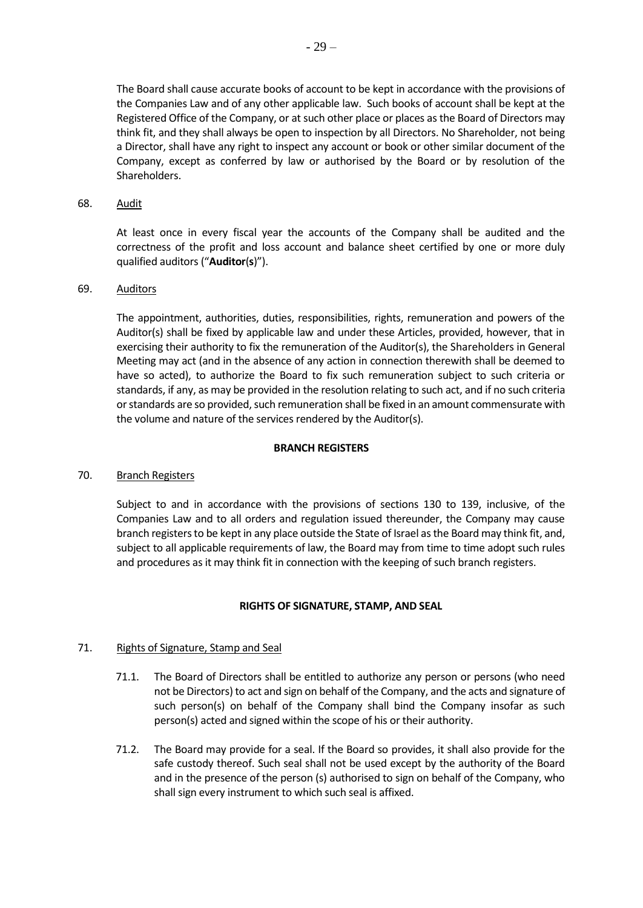The Board shall cause accurate books of account to be kept in accordance with the provisions of the Companies Law and of any other applicable law. Such books of account shall be kept at the Registered Office of the Company, or at such other place or places as the Board of Directors may think fit, and they shall always be open to inspection by all Directors. No Shareholder, not being a Director, shall have any right to inspect any account or book or other similar document of the Company, except as conferred by law or authorised by the Board or by resolution of the Shareholders.

#### 68. Audit

At least once in every fiscal year the accounts of the Company shall be audited and the correctness of the profit and loss account and balance sheet certified by one or more duly qualified auditors ("**Auditor**(**s**)").

## 69. Auditors

The appointment, authorities, duties, responsibilities, rights, remuneration and powers of the Auditor(s) shall be fixed by applicable law and under these Articles, provided, however, that in exercising their authority to fix the remuneration of the Auditor(s), the Shareholders in General Meeting may act (and in the absence of any action in connection therewith shall be deemed to have so acted), to authorize the Board to fix such remuneration subject to such criteria or standards, if any, as may be provided in the resolution relating to such act, and if no such criteria or standards are so provided, such remuneration shall be fixed in an amount commensurate with the volume and nature of the services rendered by the Auditor(s).

#### **BRANCH REGISTERS**

### 70. Branch Registers

Subject to and in accordance with the provisions of sections 130 to 139, inclusive, of the Companies Law and to all orders and regulation issued thereunder, the Company may cause branch registers to be kept in any place outside the State of Israel as the Board may think fit, and, subject to all applicable requirements of law, the Board may from time to time adopt such rules and procedures as it may think fit in connection with the keeping of such branch registers.

### **RIGHTS OF SIGNATURE, STAMP, AND SEAL**

### 71. Rights of Signature, Stamp and Seal

- 71.1. The Board of Directors shall be entitled to authorize any person or persons (who need not be Directors) to act and sign on behalf of the Company, and the acts and signature of such person(s) on behalf of the Company shall bind the Company insofar as such person(s) acted and signed within the scope of his or their authority.
- 71.2. The Board may provide for a seal. If the Board so provides, it shall also provide for the safe custody thereof. Such seal shall not be used except by the authority of the Board and in the presence of the person (s) authorised to sign on behalf of the Company, who shall sign every instrument to which such seal is affixed.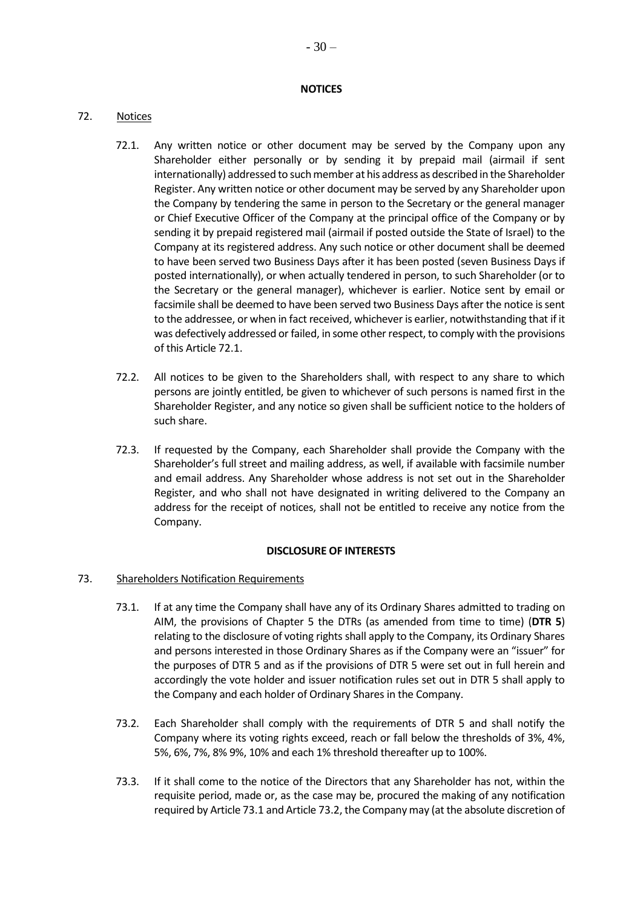### **NOTICES**

# <span id="page-29-0"></span>72. Notices

- 72.1. Any written notice or other document may be served by the Company upon any Shareholder either personally or by sending it by prepaid mail (airmail if sent internationally) addressed to such member at his address as described in the Shareholder Register. Any written notice or other document may be served by any Shareholder upon the Company by tendering the same in person to the Secretary or the general manager or Chief Executive Officer of the Company at the principal office of the Company or by sending it by prepaid registered mail (airmail if posted outside the State of Israel) to the Company at its registered address. Any such notice or other document shall be deemed to have been served two Business Days after it has been posted (seven Business Days if posted internationally), or when actually tendered in person, to such Shareholder (or to the Secretary or the general manager), whichever is earlier. Notice sent by email or facsimile shall be deemed to have been served two Business Days after the notice is sent to the addressee, or when in fact received, whichever is earlier, notwithstanding that if it was defectively addressed or failed, in some other respect, to comply with the provisions of this Article [72.1.](#page-29-0)
- 72.2. All notices to be given to the Shareholders shall, with respect to any share to which persons are jointly entitled, be given to whichever of such persons is named first in the Shareholder Register, and any notice so given shall be sufficient notice to the holders of such share.
- 72.3. If requested by the Company, each Shareholder shall provide the Company with the Shareholder's full street and mailing address, as well, if available with facsimile number and email address. Any Shareholder whose address is not set out in the Shareholder Register, and who shall not have designated in writing delivered to the Company an address for the receipt of notices, shall not be entitled to receive any notice from the Company.

### **DISCLOSURE OF INTERESTS**

### <span id="page-29-3"></span><span id="page-29-1"></span>73. Shareholders Notification Requirements

- 73.1. If at any time the Company shall have any of its Ordinary Shares admitted to trading on AIM, the provisions of Chapter 5 the DTRs (as amended from time to time) (**DTR 5**) relating to the disclosure of voting rights shall apply to the Company, its Ordinary Shares and persons interested in those Ordinary Shares as if the Company were an "issuer" for the purposes of DTR 5 and as if the provisions of DTR 5 were set out in full herein and accordingly the vote holder and issuer notification rules set out in DTR 5 shall apply to the Company and each holder of Ordinary Shares in the Company.
- <span id="page-29-2"></span>73.2. Each Shareholder shall comply with the requirements of DTR 5 and shall notify the Company where its voting rights exceed, reach or fall below the thresholds of 3%, 4%, 5%, 6%, 7%, 8% 9%, 10% and each 1% threshold thereafter up to 100%.
- 73.3. If it shall come to the notice of the Directors that any Shareholder has not, within the requisite period, made or, as the case may be, procured the making of any notification required by Articl[e 73.1](#page-29-1) and Article [73.2,](#page-29-2) the Company may (at the absolute discretion of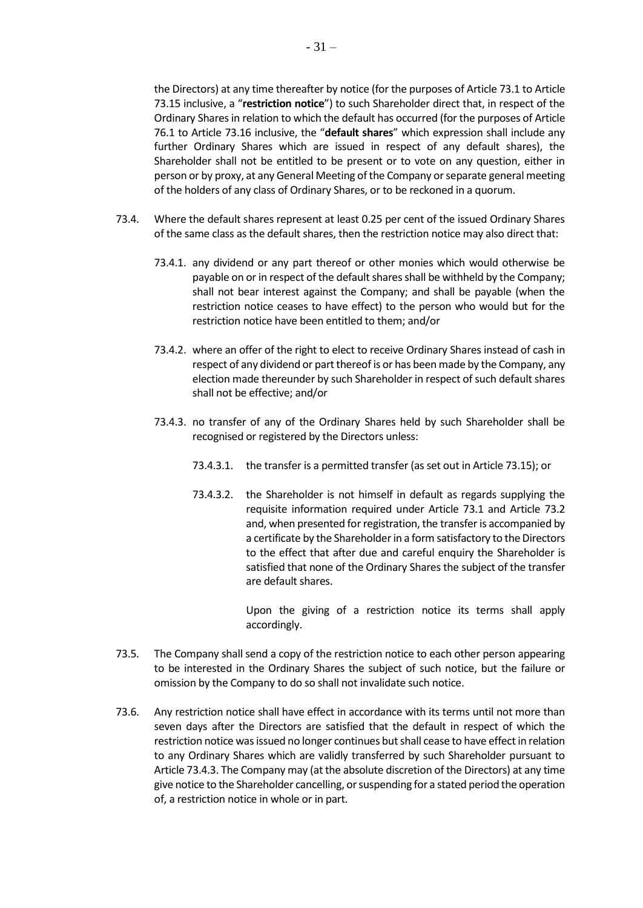the Directors) at any time thereafter by notice (for the purposes of Article [73.1](#page-29-1) to Article [73.15](#page-35-0) inclusive, a "**restriction notice**") to such Shareholder direct that, in respect of the Ordinary Shares in relation to which the default has occurred (for the purposes of Article 76.1 to Article [73.16](#page-35-1) inclusive, the "**default shares**" which expression shall include any further Ordinary Shares which are issued in respect of any default shares), the Shareholder shall not be entitled to be present or to vote on any question, either in person or by proxy, at any General Meeting of the Company or separate general meeting of the holders of any class of Ordinary Shares, or to be reckoned in a quorum.

- <span id="page-30-0"></span>73.4. Where the default shares represent at least 0.25 per cent of the issued Ordinary Shares of the same class as the default shares, then the restriction notice may also direct that:
	- 73.4.1. any dividend or any part thereof or other monies which would otherwise be payable on or in respect of the default shares shall be withheld by the Company; shall not bear interest against the Company; and shall be payable (when the restriction notice ceases to have effect) to the person who would but for the restriction notice have been entitled to them; and/or
	- 73.4.2. where an offer of the right to elect to receive Ordinary Shares instead of cash in respect of any dividend or part thereof is or has been made by the Company, any election made thereunder by such Shareholder in respect of such default shares shall not be effective; and/or
	- 73.4.3. no transfer of any of the Ordinary Shares held by such Shareholder shall be recognised or registered by the Directors unless:
		- 73.4.3.1. the transfer is a permitted transfer (as set out in Articl[e 73.15\)](#page-35-0); or
		- 73.4.3.2. the Shareholder is not himself in default as regards supplying the requisite information required under Article 73.1 and Article 73.2 and, when presented for registration, the transfer is accompanied by a certificate by the Shareholder in a form satisfactory to the Directors to the effect that after due and careful enquiry the Shareholder is satisfied that none of the Ordinary Shares the subject of the transfer are default shares.

Upon the giving of a restriction notice its terms shall apply accordingly.

- 73.5. The Company shall send a copy of the restriction notice to each other person appearing to be interested in the Ordinary Shares the subject of such notice, but the failure or omission by the Company to do so shall not invalidate such notice.
- 73.6. Any restriction notice shall have effect in accordance with its terms until not more than seven days after the Directors are satisfied that the default in respect of which the restriction notice was issued no longer continues but shall cease to have effect in relation to any Ordinary Shares which are validly transferred by such Shareholder pursuant to Articl[e 73.4.3.](#page-30-0) The Company may (at the absolute discretion of the Directors) at any time give notice to the Shareholder cancelling, or suspending for a stated period the operation of, a restriction notice in whole or in part.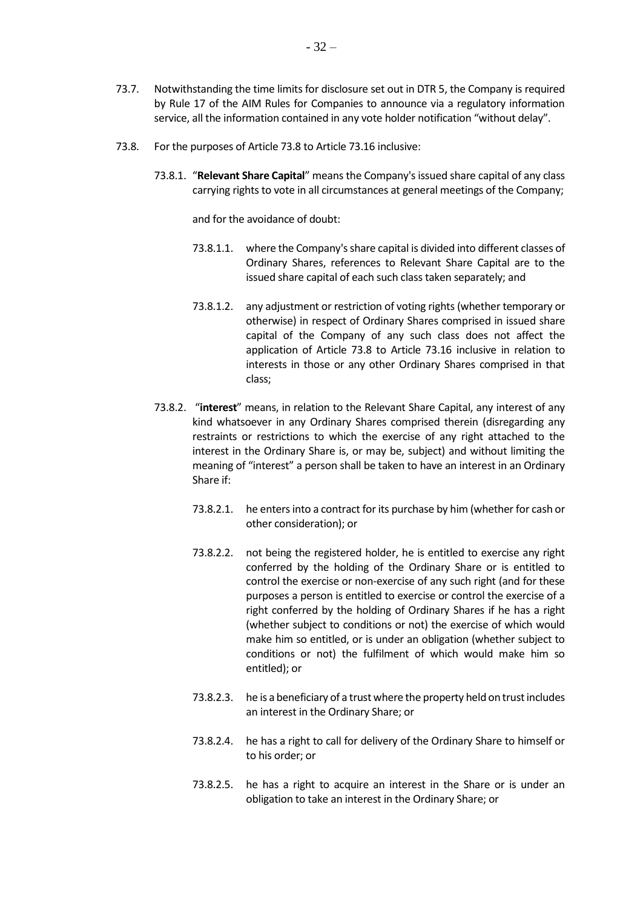- 73.7. Notwithstanding the time limits for disclosure set out in DTR 5, the Company is required by Rule 17 of the AIM Rules for Companies to announce via a regulatory information service, all the information contained in any vote holder notification "without delay".
- <span id="page-31-0"></span>73.8. For the purposes of Article 73.8 to Article [73.16](#page-35-1) inclusive:
	- 73.8.1. "**Relevant Share Capital**" means the Company's issued share capital of any class carrying rights to vote in all circumstances at general meetings of the Company;

and for the avoidance of doubt:

- 73.8.1.1. where the Company's share capital is divided into different classes of Ordinary Shares, references to Relevant Share Capital are to the issued share capital of each such class taken separately; and
- 73.8.1.2. any adjustment or restriction of voting rights (whether temporary or otherwise) in respect of Ordinary Shares comprised in issued share capital of the Company of any such class does not affect the application of Article [73.8](#page-31-0) to Article [73.16](#page-35-1) inclusive in relation to interests in those or any other Ordinary Shares comprised in that class;
- 73.8.2. "**interest**" means, in relation to the Relevant Share Capital, any interest of any kind whatsoever in any Ordinary Shares comprised therein (disregarding any restraints or restrictions to which the exercise of any right attached to the interest in the Ordinary Share is, or may be, subject) and without limiting the meaning of "interest" a person shall be taken to have an interest in an Ordinary Share if:
	- 73.8.2.1. he enters into a contract for its purchase by him (whether for cash or other consideration); or
	- 73.8.2.2. not being the registered holder, he is entitled to exercise any right conferred by the holding of the Ordinary Share or is entitled to control the exercise or non-exercise of any such right (and for these purposes a person is entitled to exercise or control the exercise of a right conferred by the holding of Ordinary Shares if he has a right (whether subject to conditions or not) the exercise of which would make him so entitled, or is under an obligation (whether subject to conditions or not) the fulfilment of which would make him so entitled); or
	- 73.8.2.3. he is a beneficiary of a trust where the property held on trust includes an interest in the Ordinary Share; or
	- 73.8.2.4. he has a right to call for delivery of the Ordinary Share to himself or to his order; or
	- 73.8.2.5. he has a right to acquire an interest in the Share or is under an obligation to take an interest in the Ordinary Share; or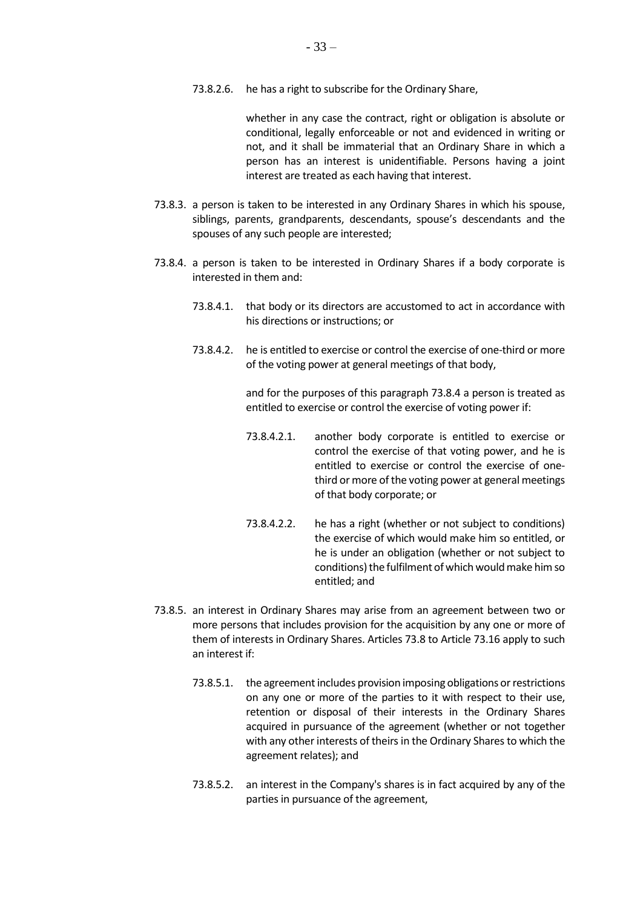73.8.2.6. he has a right to subscribe for the Ordinary Share,

whether in any case the contract, right or obligation is absolute or conditional, legally enforceable or not and evidenced in writing or not, and it shall be immaterial that an Ordinary Share in which a person has an interest is unidentifiable. Persons having a joint interest are treated as each having that interest.

- <span id="page-32-2"></span>73.8.3. a person is taken to be interested in any Ordinary Shares in which his spouse, siblings, parents, grandparents, descendants, spouse's descendants and the spouses of any such people are interested;
- <span id="page-32-0"></span>73.8.4. a person is taken to be interested in Ordinary Shares if a body corporate is interested in them and:
	- 73.8.4.1. that body or its directors are accustomed to act in accordance with his directions or instructions; or
	- 73.8.4.2. he is entitled to exercise or control the exercise of one-third or more of the voting power at general meetings of that body,

and for the purposes of this paragrap[h 73.8.4](#page-32-0) a person is treated as entitled to exercise or control the exercise of voting power if:

- 73.8.4.2.1. another body corporate is entitled to exercise or control the exercise of that voting power, and he is entitled to exercise or control the exercise of onethird or more of the voting power at general meetings of that body corporate; or
- 73.8.4.2.2. he has a right (whether or not subject to conditions) the exercise of which would make him so entitled, or he is under an obligation (whether or not subject to conditions) the fulfilment of which would make him so entitled; and
- <span id="page-32-1"></span>73.8.5. an interest in Ordinary Shares may arise from an agreement between two or more persons that includes provision for the acquisition by any one or more of them of interests in Ordinary Shares. Articles [73.8](#page-31-0) to Article [73.16](#page-35-1) apply to such an interest if:
	- 73.8.5.1. the agreement includes provision imposing obligations or restrictions on any one or more of the parties to it with respect to their use, retention or disposal of their interests in the Ordinary Shares acquired in pursuance of the agreement (whether or not together with any other interests of theirs in the Ordinary Shares to which the agreement relates); and
	- 73.8.5.2. an interest in the Company's shares is in fact acquired by any of the parties in pursuance of the agreement,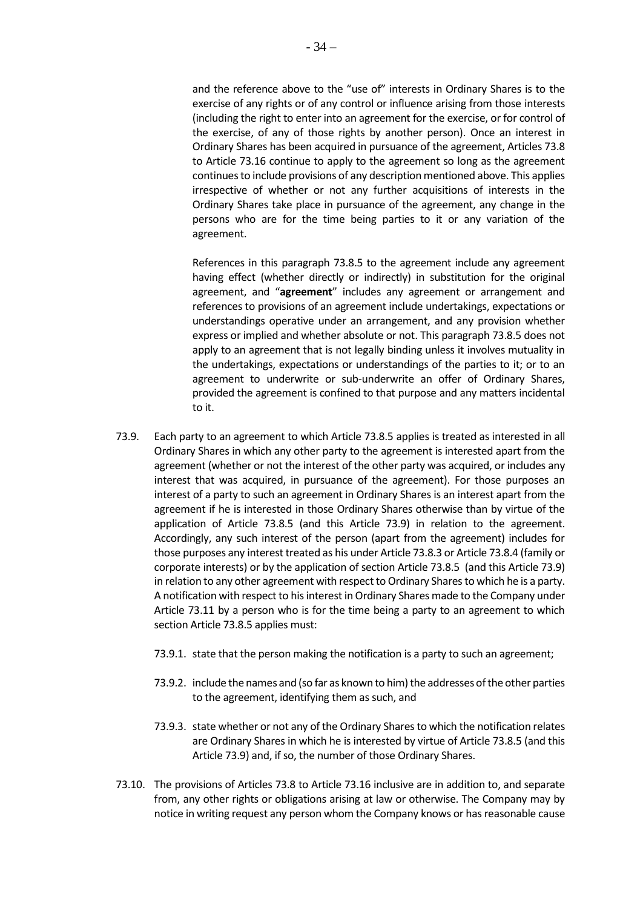and the reference above to the "use of" interests in Ordinary Shares is to the exercise of any rights or of any control or influence arising from those interests (including the right to enter into an agreement for the exercise, or for control of the exercise, of any of those rights by another person). Once an interest in Ordinary Shares has been acquired in pursuance of the agreement, Article[s 73.8](#page-31-0) to Article [73.16](#page-35-1) continue to apply to the agreement so long as the agreement continues to include provisions of any description mentioned above. This applies irrespective of whether or not any further acquisitions of interests in the Ordinary Shares take place in pursuance of the agreement, any change in the persons who are for the time being parties to it or any variation of the agreement.

References in this paragraph [73.8.5](#page-32-1) to the agreement include any agreement having effect (whether directly or indirectly) in substitution for the original agreement, and "**agreement**" includes any agreement or arrangement and references to provisions of an agreement include undertakings, expectations or understandings operative under an arrangement, and any provision whether express or implied and whether absolute or not. This paragrap[h 73.8.5](#page-32-1) does not apply to an agreement that is not legally binding unless it involves mutuality in the undertakings, expectations or understandings of the parties to it; or to an agreement to underwrite or sub-underwrite an offer of Ordinary Shares, provided the agreement is confined to that purpose and any matters incidental to it.

- <span id="page-33-0"></span>73.9. Each party to an agreement to which Articl[e 73.8.5](#page-32-1) applies is treated as interested in all Ordinary Shares in which any other party to the agreement is interested apart from the agreement (whether or not the interest of the other party was acquired, or includes any interest that was acquired, in pursuance of the agreement). For those purposes an interest of a party to such an agreement in Ordinary Shares is an interest apart from the agreement if he is interested in those Ordinary Shares otherwise than by virtue of the application of Article [73.8.5](#page-32-1) (and this Article [73.9\)](#page-33-0) in relation to the agreement. Accordingly, any such interest of the person (apart from the agreement) includes for those purposes any interest treated as his under Articl[e 73.8.3](#page-32-2) or Articl[e 73.8.4](#page-32-0) (family or corporate interests) or by the application of section Article [73.8.5](#page-32-1) (and this Articl[e 73.9\)](#page-33-0) in relation to any other agreement with respect to Ordinary Shares to which he is a party. A notification with respect to his interest in Ordinary Shares made to the Company under Article [73.11](#page-34-0) by a person who is for the time being a party to an agreement to which section Articl[e 73.8.5](#page-32-1) applies must:
	- 73.9.1. state that the person making the notification is a party to such an agreement;
	- 73.9.2. include the names and (so far as known to him) the addresses of the other parties to the agreement, identifying them as such, and
	- 73.9.3. state whether or not any of the Ordinary Shares to which the notification relates are Ordinary Shares in which he is interested by virtue of Articl[e 73.8.5](#page-32-1) (and this Articl[e 73.9\)](#page-33-0) and, if so, the number of those Ordinary Shares.
- <span id="page-33-1"></span>73.10. The provisions of Articles [73.8](#page-31-0) to Article [73.16](#page-35-1) inclusive are in addition to, and separate from, any other rights or obligations arising at law or otherwise. The Company may by notice in writing request any person whom the Company knows or has reasonable cause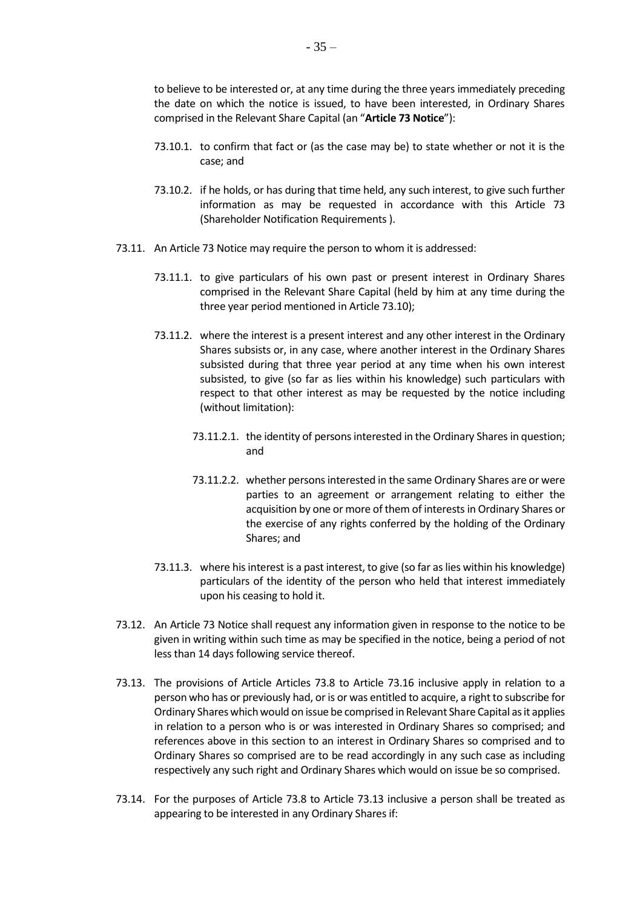to believe to be interested or, at any time during the three years immediately preceding the date on which the notice is issued, to have been interested, in Ordinary Shares comprised in the Relevant Share Capital (an "**Article 73 Notice**"):

- 73.10.1. to confirm that fact or (as the case may be) to state whether or not it is the case; and
- 73.10.2. if he holds, or has during that time held, any such interest, to give such further information as may be requested in accordance with this Article [73](#page-29-3) (Shareholder Notification Requirements ).
- <span id="page-34-0"></span>73.11. An Article 73 Notice may require the person to whom it is addressed:
	- 73.11.1. to give particulars of his own past or present interest in Ordinary Shares comprised in the Relevant Share Capital (held by him at any time during the three year period mentioned in Article [73.10\)](#page-33-1);
	- 73.11.2. where the interest is a present interest and any other interest in the Ordinary Shares subsists or, in any case, where another interest in the Ordinary Shares subsisted during that three year period at any time when his own interest subsisted, to give (so far as lies within his knowledge) such particulars with respect to that other interest as may be requested by the notice including (without limitation):
		- 73.11.2.1. the identity of persons interested in the Ordinary Shares in question; and
		- 73.11.2.2. whether persons interested in the same Ordinary Shares are or were parties to an agreement or arrangement relating to either the acquisition by one or more of them of interests in Ordinary Shares or the exercise of any rights conferred by the holding of the Ordinary Shares; and
	- 73.11.3. where his interest is a past interest, to give (so far as lies within his knowledge) particulars of the identity of the person who held that interest immediately upon his ceasing to hold it.
- 73.12. An Article 73 Notice shall request any information given in response to the notice to be given in writing within such time as may be specified in the notice, being a period of not less than 14 days following service thereof.
- <span id="page-34-1"></span>73.13. The provisions of Article Articles [73.8](#page-31-0) to Article [73.16](#page-35-1) inclusive apply in relation to a person who has or previously had, or is or was entitled to acquire, a right to subscribe for Ordinary Shares which would on issue be comprised in Relevant Share Capital as it applies in relation to a person who is or was interested in Ordinary Shares so comprised; and references above in this section to an interest in Ordinary Shares so comprised and to Ordinary Shares so comprised are to be read accordingly in any such case as including respectively any such right and Ordinary Shares which would on issue be so comprised.
- <span id="page-34-2"></span>73.14. For the purposes of Article [73.8](#page-31-0) to Article [73.13](#page-34-1) inclusive a person shall be treated as appearing to be interested in any Ordinary Shares if: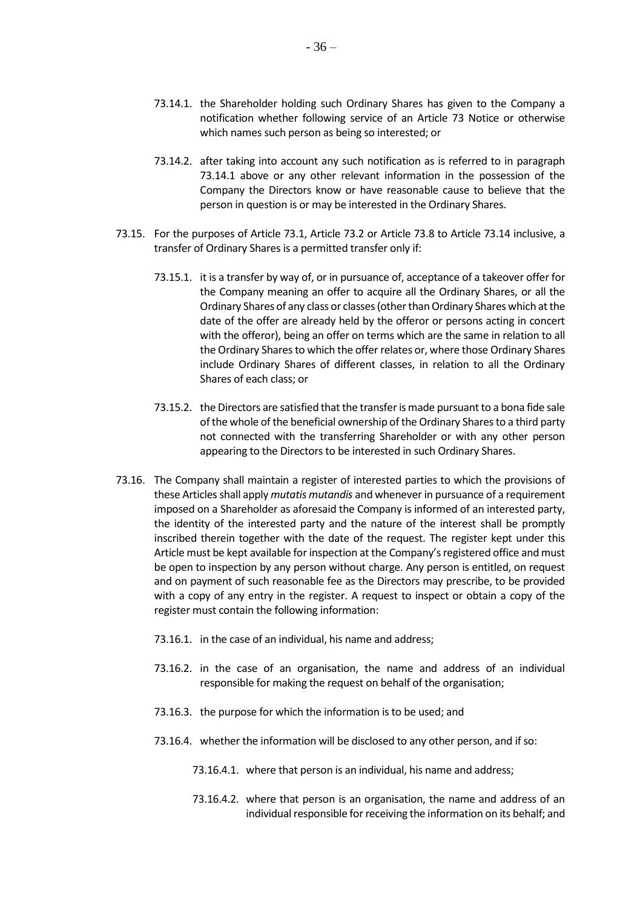- <span id="page-35-2"></span>73.14.1. the Shareholder holding such Ordinary Shares has given to the Company a notification whether following service of an Article 73 Notice or otherwise which names such person as being so interested; or
- 73.14.2. after taking into account any such notification as is referred to in paragraph [73.14.1](#page-35-2) above or any other relevant information in the possession of the Company the Directors know or have reasonable cause to believe that the person in question is or may be interested in the Ordinary Shares.
- <span id="page-35-0"></span>73.15. For the purposes of Article [73.1,](#page-29-1) Article [73.2](#page-29-2) or Article [73.8](#page-31-0) to Article [73.14](#page-34-2) inclusive, a transfer of Ordinary Shares is a permitted transfer only if:
	- 73.15.1. it is a transfer by way of, or in pursuance of, acceptance of a takeover offer for the Company meaning an offer to acquire all the Ordinary Shares, or all the Ordinary Shares of any class or classes (other than Ordinary Shares which at the date of the offer are already held by the offeror or persons acting in concert with the offeror), being an offer on terms which are the same in relation to all the Ordinary Shares to which the offer relates or, where those Ordinary Shares include Ordinary Shares of different classes, in relation to all the Ordinary Shares of each class; or
	- 73.15.2. the Directors are satisfied that the transfer is made pursuant to a bona fide sale of the whole of the beneficial ownership of the Ordinary Shares to a third party not connected with the transferring Shareholder or with any other person appearing to the Directors to be interested in such Ordinary Shares.
- <span id="page-35-1"></span>73.16. The Company shall maintain a register of interested parties to which the provisions of these Articles shall apply *mutatis mutandis* and whenever in pursuance of a requirement imposed on a Shareholder as aforesaid the Company is informed of an interested party, the identity of the interested party and the nature of the interest shall be promptly inscribed therein together with the date of the request. The register kept under this Article must be kept available for inspection at the Company's registered office and must be open to inspection by any person without charge. Any person is entitled, on request and on payment of such reasonable fee as the Directors may prescribe, to be provided with a copy of any entry in the register. A request to inspect or obtain a copy of the register must contain the following information:
	- 73.16.1. in the case of an individual, his name and address;
	- 73.16.2. in the case of an organisation, the name and address of an individual responsible for making the request on behalf of the organisation;
	- 73.16.3. the purpose for which the information is to be used; and
	- 73.16.4. whether the information will be disclosed to any other person, and if so:
		- 73.16.4.1. where that person is an individual, his name and address;
		- 73.16.4.2. where that person is an organisation, the name and address of an individual responsible for receiving the information on its behalf; and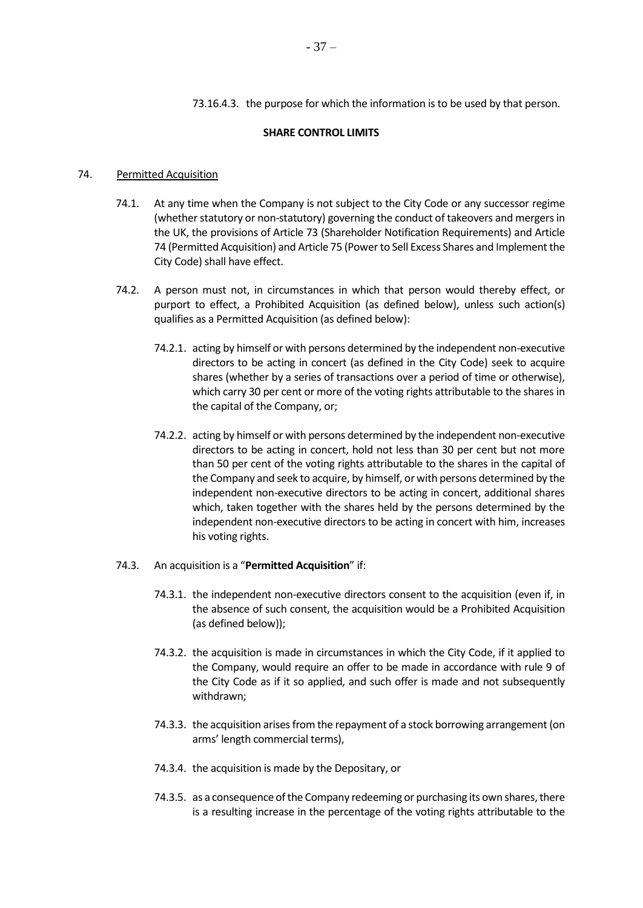73.16.4.3. the purpose for which the information is to be used by that person.

#### **SHARE CONTROL LIMITS**

#### <span id="page-36-0"></span>74. Permitted Acquisition

- 74.1. At any time when the Company is not subject to the City Code or any successor regime (whether statutory or non-statutory) governing the conduct of takeovers and mergers in the UK, the provisions of Articl[e 73](#page-29-3) (Shareholder Notification Requirements) and Article [74](#page-36-0) (Permitted Acquisition) and Articl[e 75](#page-37-0) (Power to Sell Excess Shares and Implement the City Code) shall have effect.
- 74.2. A person must not, in circumstances in which that person would thereby effect, or purport to effect, a Prohibited Acquisition (as defined below), unless such action(s) qualifies as a Permitted Acquisition (as defined below):
	- 74.2.1. acting by himself or with persons determined by the independent non-executive directors to be acting in concert (as defined in the City Code) seek to acquire shares (whether by a series of transactions over a period of time or otherwise), which carry 30 per cent or more of the voting rights attributable to the shares in the capital of the Company, or;
	- 74.2.2. acting by himself or with persons determined by the independent non-executive directors to be acting in concert, hold not less than 30 per cent but not more than 50 per cent of the voting rights attributable to the shares in the capital of the Company and seek to acquire, by himself, or with persons determined by the independent non-executive directors to be acting in concert, additional shares which, taken together with the shares held by the persons determined by the independent non-executive directors to be acting in concert with him, increases his voting rights.
- 74.3. An acquisition is a "**Permitted Acquisition**" if:
	- 74.3.1. the independent non-executive directors consent to the acquisition (even if, in the absence of such consent, the acquisition would be a Prohibited Acquisition (as defined below));
	- 74.3.2. the acquisition is made in circumstances in which the City Code, if it applied to the Company, would require an offer to be made in accordance with rule 9 of the City Code as if it so applied, and such offer is made and not subsequently withdrawn;
	- 74.3.3. the acquisition arises from the repayment of a stock borrowing arrangement (on arms' length commercial terms),
	- 74.3.4. the acquisition is made by the Depositary, or
	- 74.3.5. as a consequence of the Company redeeming or purchasing its own shares, there is a resulting increase in the percentage of the voting rights attributable to the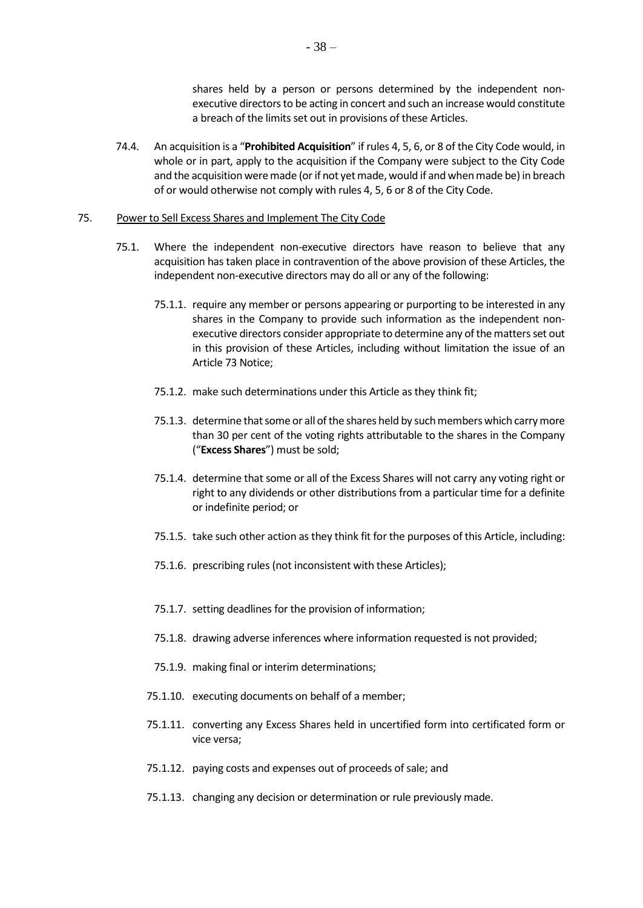shares held by a person or persons determined by the independent nonexecutive directors to be acting in concert and such an increase would constitute a breach of the limits set out in provisions of these Articles.

74.4. An acquisition is a "**Prohibited Acquisition**" if rules 4, 5, 6, or 8 of the City Code would, in whole or in part, apply to the acquisition if the Company were subject to the City Code and the acquisition were made (or if not yet made, would if and when made be) in breach of or would otherwise not comply with rules 4, 5, 6 or 8 of the City Code.

#### <span id="page-37-0"></span>75. Power to Sell Excess Shares and Implement The City Code

- 75.1. Where the independent non-executive directors have reason to believe that any acquisition has taken place in contravention of the above provision of these Articles, the independent non-executive directors may do all or any of the following:
	- 75.1.1. require any member or persons appearing or purporting to be interested in any shares in the Company to provide such information as the independent nonexecutive directors consider appropriate to determine any of the matters set out in this provision of these Articles, including without limitation the issue of an Article 73 Notice;
	- 75.1.2. make such determinations under this Article as they think fit;
	- 75.1.3. determine that some or all of the shares held by such members which carry more than 30 per cent of the voting rights attributable to the shares in the Company ("**Excess Shares**") must be sold;
	- 75.1.4. determine that some or all of the Excess Shares will not carry any voting right or right to any dividends or other distributions from a particular time for a definite or indefinite period; or
	- 75.1.5. take such other action as they think fit for the purposes of this Article, including:
	- 75.1.6. prescribing rules (not inconsistent with these Articles);
	- 75.1.7. setting deadlines for the provision of information;
	- 75.1.8. drawing adverse inferences where information requested is not provided;
	- 75.1.9. making final or interim determinations;
	- 75.1.10. executing documents on behalf of a member;
	- 75.1.11. converting any Excess Shares held in uncertified form into certificated form or vice versa;
	- 75.1.12. paying costs and expenses out of proceeds of sale; and
	- 75.1.13. changing any decision or determination or rule previously made.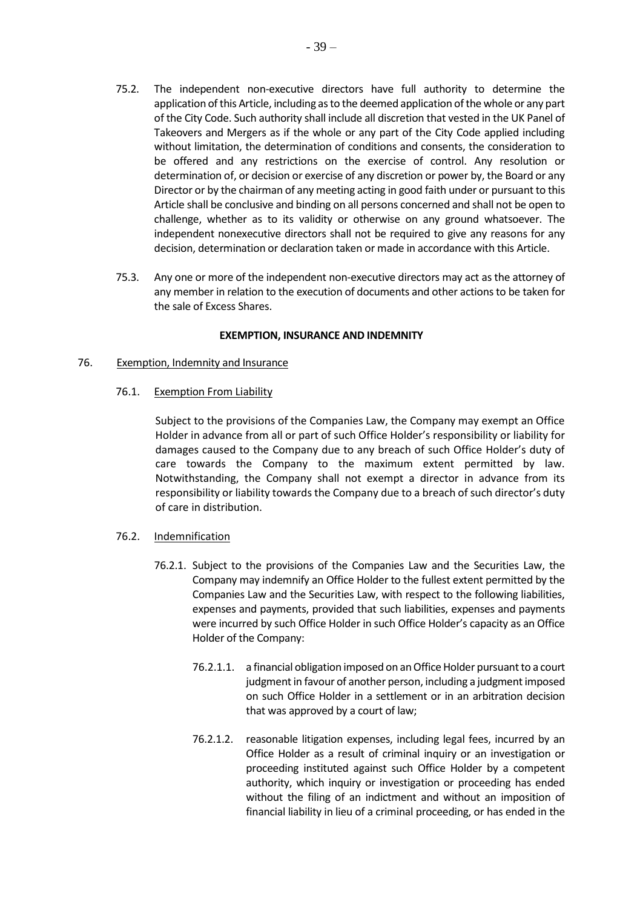- 75.2. The independent non-executive directors have full authority to determine the application of this Article, including as to the deemed application of the whole or any part of the City Code. Such authority shall include all discretion that vested in the UK Panel of Takeovers and Mergers as if the whole or any part of the City Code applied including without limitation, the determination of conditions and consents, the consideration to be offered and any restrictions on the exercise of control. Any resolution or determination of, or decision or exercise of any discretion or power by, the Board or any Director or by the chairman of any meeting acting in good faith under or pursuant to this Article shall be conclusive and binding on all persons concerned and shall not be open to challenge, whether as to its validity or otherwise on any ground whatsoever. The independent nonexecutive directors shall not be required to give any reasons for any decision, determination or declaration taken or made in accordance with this Article.
- 75.3. Any one or more of the independent non-executive directors may act as the attorney of any member in relation to the execution of documents and other actions to be taken for the sale of Excess Shares.

### **EXEMPTION, INSURANCE AND INDEMNITY**

### 76. Exemption, Indemnity and Insurance

76.1. Exemption From Liability

Subject to the provisions of the Companies Law, the Company may exempt an Office Holder in advance from all or part of such Office Holder's responsibility or liability for damages caused to the Company due to any breach of such Office Holder's duty of care towards the Company to the maximum extent permitted by law. Notwithstanding, the Company shall not exempt a director in advance from its responsibility or liability towards the Company due to a breach of such director's duty of care in distribution.

### 76.2. Indemnification

- 76.2.1. Subject to the provisions of the Companies Law and the Securities Law, the Company may indemnify an Office Holder to the fullest extent permitted by the Companies Law and the Securities Law, with respect to the following liabilities, expenses and payments, provided that such liabilities, expenses and payments were incurred by such Office Holder in such Office Holder's capacity as an Office Holder of the Company:
	- 76.2.1.1. a financial obligation imposed on an Office Holder pursuant to a court judgment in favour of another person, including a judgment imposed on such Office Holder in a settlement or in an arbitration decision that was approved by a court of law;
	- 76.2.1.2. reasonable litigation expenses, including legal fees, incurred by an Office Holder as a result of criminal inquiry or an investigation or proceeding instituted against such Office Holder by a competent authority, which inquiry or investigation or proceeding has ended without the filing of an indictment and without an imposition of financial liability in lieu of a criminal proceeding, or has ended in the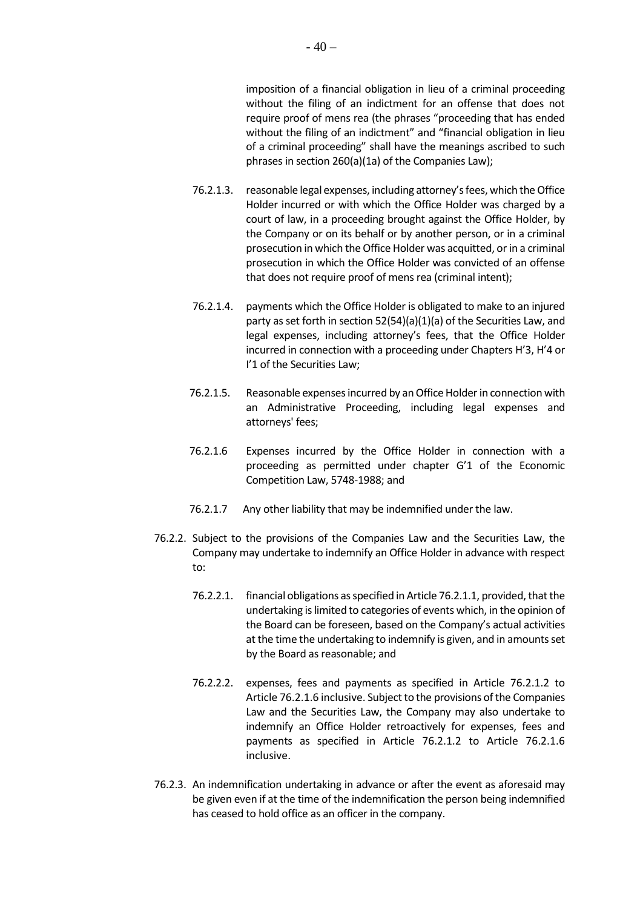imposition of a financial obligation in lieu of a criminal proceeding without the filing of an indictment for an offense that does not require proof of mens rea (the phrases "proceeding that has ended without the filing of an indictment" and "financial obligation in lieu of a criminal proceeding" shall have the meanings ascribed to such phrases in section 260(a)(1a) of the Companies Law);

- 76.2.1.3. reasonable legal expenses, including attorney's fees, which the Office Holder incurred or with which the Office Holder was charged by a court of law, in a proceeding brought against the Office Holder, by the Company or on its behalf or by another person, or in a criminal prosecution in which the Office Holder was acquitted, or in a criminal prosecution in which the Office Holder was convicted of an offense that does not require proof of mens rea (criminal intent);
- 76.2.1.4. payments which the Office Holder is obligated to make to an injured party as set forth in section 52(54)(a)(1)(a) of the Securities Law, and legal expenses, including attorney's fees, that the Office Holder incurred in connection with a proceeding under Chapters H'3, H'4 or I'1 of the Securities Law;
- 76.2.1.5. Reasonable expenses incurred by an Office Holder in connection with an Administrative Proceeding, including legal expenses and attorneys' fees;
- 76.2.1.6 Expenses incurred by the Office Holder in connection with a proceeding as permitted under chapter G'1 of the Economic Competition Law, 5748-1988; and
- 76.2.1.7 Any other liability that may be indemnified under the law.
- 76.2.2. Subject to the provisions of the Companies Law and the Securities Law, the Company may undertake to indemnify an Office Holder in advance with respect to:
	- 76.2.2.1. financial obligations as specified in Article 76.2.1.1, provided, that the undertaking is limited to categories of events which, in the opinion of the Board can be foreseen, based on the Company's actual activities at the time the undertaking to indemnify is given, and in amounts set by the Board as reasonable; and
	- 76.2.2.2. expenses, fees and payments as specified in Article 76.2.1.2 to Article 76.2.1.6 inclusive. Subject to the provisions of the Companies Law and the Securities Law, the Company may also undertake to indemnify an Office Holder retroactively for expenses, fees and payments as specified in Article 76.2.1.2 to Article 76.2.1.6 inclusive.
- 76.2.3. An indemnification undertaking in advance or after the event as aforesaid may be given even if at the time of the indemnification the person being indemnified has ceased to hold office as an officer in the company.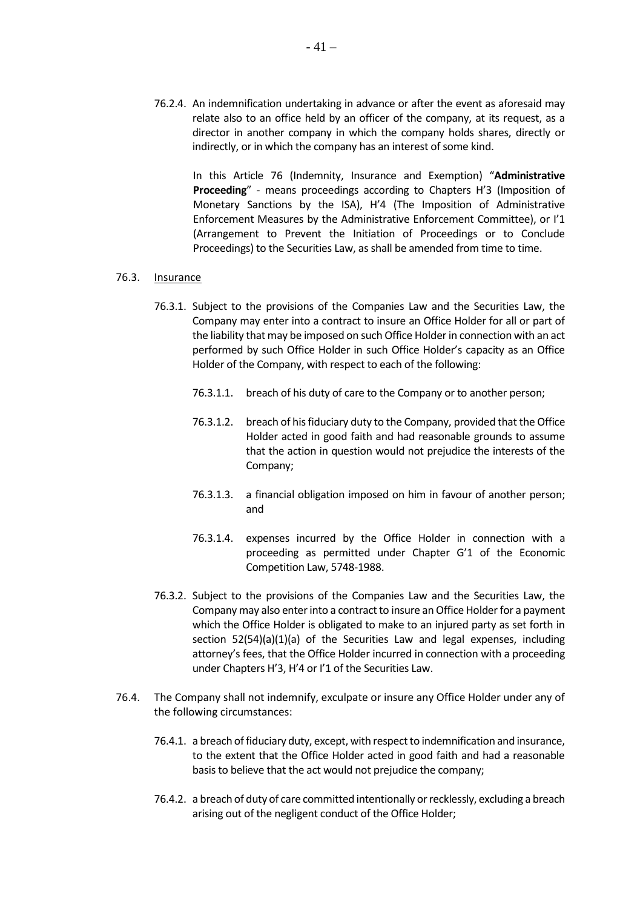76.2.4. An indemnification undertaking in advance or after the event as aforesaid may relate also to an office held by an officer of the company, at its request, as a director in another company in which the company holds shares, directly or indirectly, or in which the company has an interest of some kind.

In this Article 76 (Indemnity, Insurance and Exemption) "**Administrative Proceeding**" - means proceedings according to Chapters H'3 (Imposition of Monetary Sanctions by the ISA), H'4 (The Imposition of Administrative Enforcement Measures by the Administrative Enforcement Committee), or I'1 (Arrangement to Prevent the Initiation of Proceedings or to Conclude Proceedings) to the Securities Law, as shall be amended from time to time.

#### 76.3. Insurance

- 76.3.1. Subject to the provisions of the Companies Law and the Securities Law, the Company may enter into a contract to insure an Office Holder for all or part of the liability that may be imposed on such Office Holder in connection with an act performed by such Office Holder in such Office Holder's capacity as an Office Holder of the Company, with respect to each of the following:
	- 76.3.1.1. breach of his duty of care to the Company or to another person;
	- 76.3.1.2. breach of his fiduciary duty to the Company, provided that the Office Holder acted in good faith and had reasonable grounds to assume that the action in question would not prejudice the interests of the Company;
	- 76.3.1.3. a financial obligation imposed on him in favour of another person; and
	- 76.3.1.4. expenses incurred by the Office Holder in connection with a proceeding as permitted under Chapter G'1 of the Economic Competition Law, 5748-1988.
- 76.3.2. Subject to the provisions of the Companies Law and the Securities Law, the Company may also enter into a contract to insure an Office Holder for a payment which the Office Holder is obligated to make to an injured party as set forth in section 52(54)(a)(1)(a) of the Securities Law and legal expenses, including attorney's fees, that the Office Holder incurred in connection with a proceeding under Chapters H'3, H'4 or I'1 of the Securities Law.
- 76.4. The Company shall not indemnify, exculpate or insure any Office Holder under any of the following circumstances:
	- 76.4.1. a breach of fiduciary duty, except, with respect to indemnification and insurance, to the extent that the Office Holder acted in good faith and had a reasonable basis to believe that the act would not prejudice the company;
	- 76.4.2. a breach of duty of care committed intentionally or recklessly, excluding a breach arising out of the negligent conduct of the Office Holder;